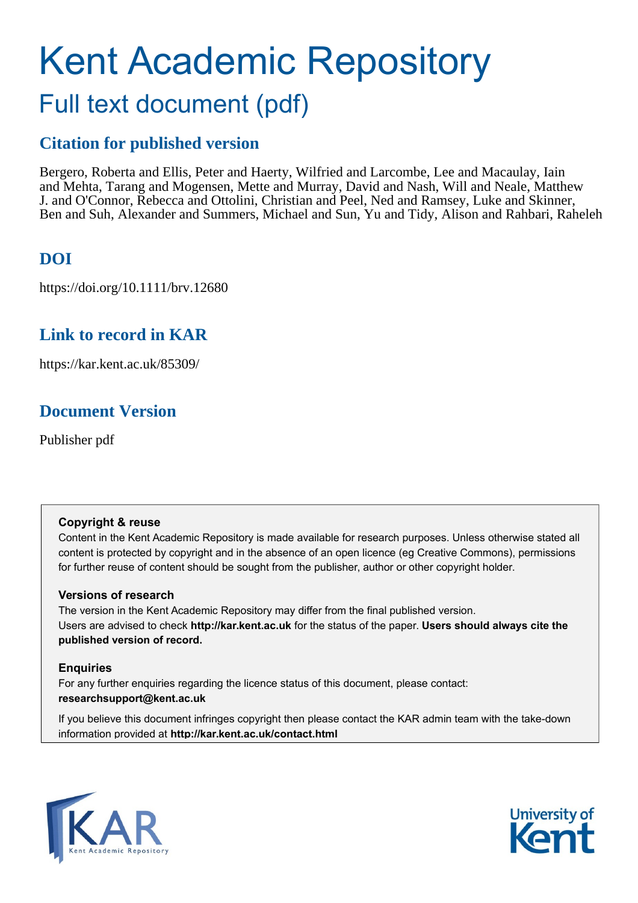# Kent Academic Repository Full text document (pdf)

### **Citation for published version**

Bergero, Roberta and Ellis, Peter and Haerty, Wilfried and Larcombe, Lee and Macaulay, Iain and Mehta, Tarang and Mogensen, Mette and Murray, David and Nash, Will and Neale, Matthew J. and O'Connor, Rebecca and Ottolini, Christian and Peel, Ned and Ramsey, Luke and Skinner, Ben and Suh, Alexander and Summers, Michael and Sun, Yu and Tidy, Alison and Rahbari, Raheleh

### **DOI**

https://doi.org/10.1111/brv.12680

### **Link to record in KAR**

https://kar.kent.ac.uk/85309/

### **Document Version**

Publisher pdf

#### **Copyright & reuse**

Content in the Kent Academic Repository is made available for research purposes. Unless otherwise stated all content is protected by copyright and in the absence of an open licence (eg Creative Commons), permissions for further reuse of content should be sought from the publisher, author or other copyright holder.

#### **Versions of research**

The version in the Kent Academic Repository may differ from the final published version. Users are advised to check **http://kar.kent.ac.uk** for the status of the paper. **Users should always cite the published version of record.**

#### **Enquiries**

For any further enquiries regarding the licence status of this document, please contact: **researchsupport@kent.ac.uk**

If you believe this document infringes copyright then please contact the KAR admin team with the take-down information provided at **http://kar.kent.ac.uk/contact.html**



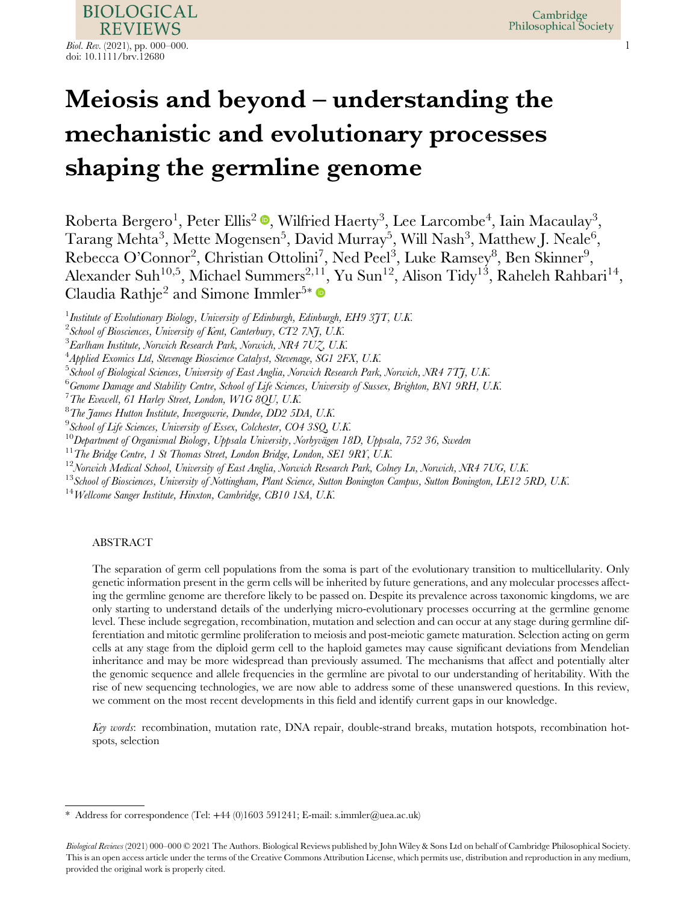

## Meiosis and beyond – understanding the mechanistic and evolutionary processes shaping the germline genome

Roberta Bergero<sup>1</sup>[,](https://orcid.org/0000-0001-9709-7934) Peter Ellis<sup>2</sup> ®, Wilfried Haerty<sup>3</sup>, Lee Larcombe<sup>4</sup>, Iain Macaulay<sup>3</sup>,  $\rm Tarang\; Mehta^3, Mette\;Mogensen^5, David\; Murray^5, Will\; Nash^3, Matthew J. \; Neale^6,$ Rebecca O'Connor<sup>2</sup>, Christian Ottolini<sup>7</sup>, Ned Peel<sup>3</sup>, Luke Ramsey<sup>8</sup>, Ben Skinner<sup>9</sup>, Alexander Suh<sup>10,5</sup>, Michael Summers<sup>2,11</sup>, Yu Sun<sup>12</sup>, Alison Tidy<sup>13</sup>, Raheleh Rahbari<sup>14</sup>, Claudia Rathje<sup>2</sup> and Simone Immler<sup>5\*</sup>

<sup>1</sup> Institute of Evolutionary Biology, University of Edinburgh, Edinburgh, EH9 3JT, U.K.

 $^6$ Genome Damage and Stability Centre, School of Life Sciences, University of Sussex, Brighton, BN1 9RH, U.K.

 $^7$ The Evewell, 61 Harley Street, London, W1G 8QU, U.K.

 $^8$ The James Hutton Institute, Invergowrie, Dundee, DD2 5DA, U.K.

 $^9$ School of Life Sciences, University of Essex, Colchester, CO4 3SQ, U.K.

<sup>10</sup>Department of Organismal Biology, Uppsala University, Norbyvägen 18D, Uppsala, 752 36, Sweden <sup>11</sup>The Bridge Centre, 1 St Thomas Street, London Bridge, London, SE1 9RY, U.K.

 $^{12}$ Norwich Medical School, University of East Anglia, Norwich Research Park, Colney Ln, Norwich, NR4 7UG, U.K.

 $^{13}$ School of Biosciences, University of Nottingham, Plant Science, Sutton Bonington Campus, Sutton Bonington, LE12 5RD, U.K.

 $14$  Wellcome Sanger Institute, Hinxton, Cambridge, CB10 1SA, U.K.

#### ABSTRACT

The separation of germ cell populations from the soma is part of the evolutionary transition to multicellularity. Only genetic information present in the germ cells will be inherited by future generations, and any molecular processes affecting the germline genome are therefore likely to be passed on. Despite its prevalence across taxonomic kingdoms, we are only starting to understand details of the underlying micro-evolutionary processes occurring at the germline genome level. These include segregation, recombination, mutation and selection and can occur at any stage during germline differentiation and mitotic germline proliferation to meiosis and post-meiotic gamete maturation. Selection acting on germ cells at any stage from the diploid germ cell to the haploid gametes may cause significant deviations from Mendelian inheritance and may be more widespread than previously assumed. The mechanisms that affect and potentially alter the genomic sequence and allele frequencies in the germline are pivotal to our understanding of heritability. With the rise of new sequencing technologies, we are now able to address some of these unanswered questions. In this review, we comment on the most recent developments in this field and identify current gaps in our knowledge.

Key words: recombination, mutation rate, DNA repair, double-strand breaks, mutation hotspots, recombination hotspots, selection

 $^2$ School of Biosciences, University of Kent, Canterbury, CT2 7NJ, U.K.

 $^3$ Earlham Institute, Norwich Research Park, Norwich, NR4 7UZ, U.K.

<sup>&</sup>lt;sup>4</sup>Applied Exomics Ltd, Stevenage Bioscience Catalyst, Stevenage, SG1 2FX, U.K.

<sup>&</sup>lt;sup>5</sup> School of Biological Sciences, University of East Anglia, Norwich Research Park, Norwich, NR4 7TJ, U.K.

<sup>\*</sup> Address for correspondence (Tel: +44 (0)1603 591241; E-mail: [s.immler@uea.ac.uk](mailto:s.immler@uea.ac.uk))

Biological Reviews (2021) 000-000 © 2021 The Authors. Biological Reviews published by John Wiley & Sons Ltd on behalf of Cambridge Philosophical Society. This is an open access article under the terms of the [Creative Commons Attribution](http://creativecommons.org/licenses/by/4.0/) License, which permits use, distribution and reproduction in any medium, provided the original work is properly cited.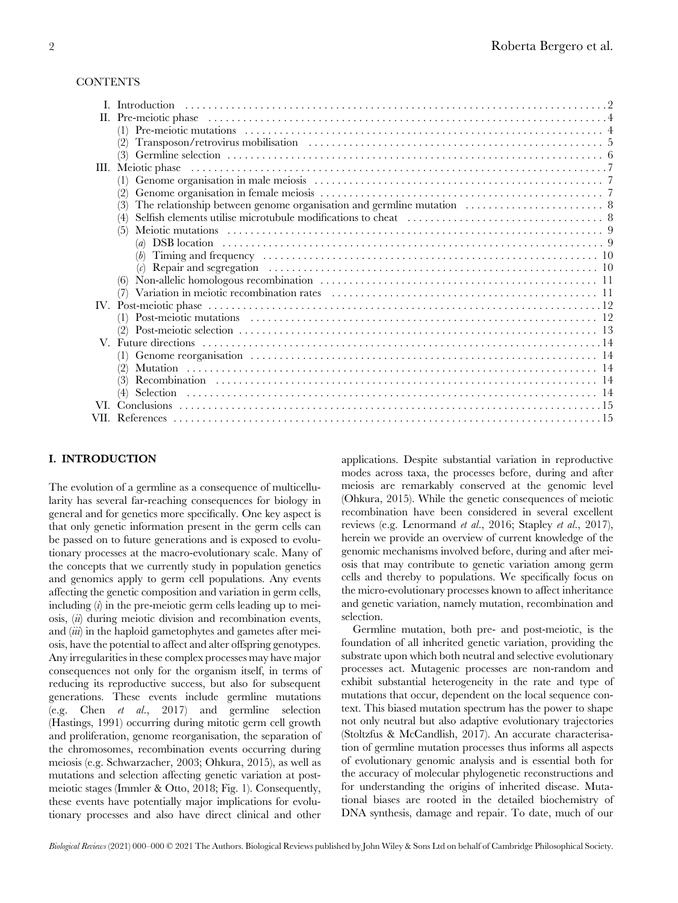#### **CONTENTS**

| III. Meiotic phase experience in the control of the control of the control of the control of the control of the control of the control of the control of the control of the control of the control of the control of the contr |
|--------------------------------------------------------------------------------------------------------------------------------------------------------------------------------------------------------------------------------|
|                                                                                                                                                                                                                                |
|                                                                                                                                                                                                                                |
|                                                                                                                                                                                                                                |
|                                                                                                                                                                                                                                |
|                                                                                                                                                                                                                                |
|                                                                                                                                                                                                                                |
|                                                                                                                                                                                                                                |
|                                                                                                                                                                                                                                |
|                                                                                                                                                                                                                                |
|                                                                                                                                                                                                                                |
|                                                                                                                                                                                                                                |
|                                                                                                                                                                                                                                |
|                                                                                                                                                                                                                                |
|                                                                                                                                                                                                                                |
|                                                                                                                                                                                                                                |
|                                                                                                                                                                                                                                |
|                                                                                                                                                                                                                                |
|                                                                                                                                                                                                                                |
|                                                                                                                                                                                                                                |
|                                                                                                                                                                                                                                |
|                                                                                                                                                                                                                                |

#### I. INTRODUCTION

The evolution of a germline as a consequence of multicellularity has several far-reaching consequences for biology in general and for genetics more specifically. One key aspect is that only genetic information present in the germ cells can be passed on to future generations and is exposed to evolutionary processes at the macro-evolutionary scale. Many of the concepts that we currently study in population genetics and genomics apply to germ cell populations. Any events affecting the genetic composition and variation in germ cells, including  $(i)$  in the pre-meiotic germ cells leading up to meiosis, (ii) during meiotic division and recombination events, and  $(iii)$  in the haploid gametophytes and gametes after meiosis, have the potential to affect and alter offspring genotypes. Any irregularities in these complex processes may have major consequences not only for the organism itself, in terms of reducing its reproductive success, but also for subsequent generations. These events include germline mutations (e.g. Chen et al., 2017) and germline selection (Hastings, 1991) occurring during mitotic germ cell growth and proliferation, genome reorganisation, the separation of the chromosomes, recombination events occurring during meiosis (e.g. Schwarzacher, 2003; Ohkura, 2015), as well as mutations and selection affecting genetic variation at postmeiotic stages (Immler & Otto, 2018; Fig. 1). Consequently, these events have potentially major implications for evolutionary processes and also have direct clinical and other

applications. Despite substantial variation in reproductive modes across taxa, the processes before, during and after meiosis are remarkably conserved at the genomic level (Ohkura, 2015). While the genetic consequences of meiotic recombination have been considered in several excellent reviews (e.g. Lenormand et al., 2016; Stapley et al., 2017), herein we provide an overview of current knowledge of the genomic mechanisms involved before, during and after meiosis that may contribute to genetic variation among germ cells and thereby to populations. We specifically focus on the micro-evolutionary processes known to affect inheritance and genetic variation, namely mutation, recombination and selection.

Germline mutation, both pre- and post-meiotic, is the foundation of all inherited genetic variation, providing the substrate upon which both neutral and selective evolutionary processes act. Mutagenic processes are non-random and exhibit substantial heterogeneity in the rate and type of mutations that occur, dependent on the local sequence context. This biased mutation spectrum has the power to shape not only neutral but also adaptive evolutionary trajectories (Stoltzfus & McCandlish, 2017). An accurate characterisation of germline mutation processes thus informs all aspects of evolutionary genomic analysis and is essential both for the accuracy of molecular phylogenetic reconstructions and for understanding the origins of inherited disease. Mutational biases are rooted in the detailed biochemistry of DNA synthesis, damage and repair. To date, much of our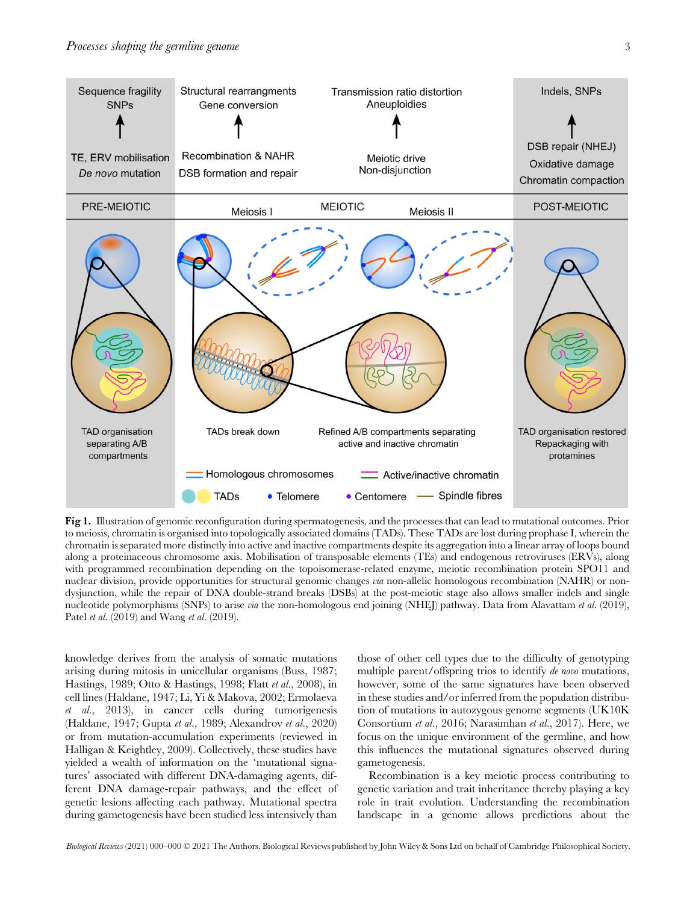

Fig 1. Illustration of genomic reconfiguration during spermatogenesis, and the processes that can lead to mutational outcomes. Prior to meiosis, chromatin is organised into topologically associated domains (TADs). These TADs are lost during prophase I, wherein the chromatin is separated more distinctly into active and inactive compartments despite its aggregation into a linear array of loops bound along a proteinaceous chromosome axis. Mobilisation of transposable elements (TEs) and endogenous retroviruses (ERVs), along with programmed recombination depending on the topoisomerase-related enzyme, meiotic recombination protein SPO11 and nuclear division, provide opportunities for structural genomic changes via non-allelic homologous recombination (NAHR) or nondysjunction, while the repair of DNA double-strand breaks (DSBs) at the post-meiotic stage also allows smaller indels and single nucleotide polymorphisms (SNPs) to arise *via* the non-homologous end joining (NHE<sub>I</sub>) pathway. Data from Alavattam *et al.* (2019), Patel *et al.* (2019) and Wang *et al.* (2019).

knowledge derives from the analysis of somatic mutations arising during mitosis in unicellular organisms (Buss, 1987; Hastings, 1989; Otto & Hastings, 1998; Flatt et al., 2008), in cell lines (Haldane, 1947; Li, Yi & Makova, 2002; Ermolaeva et al., 2013), in cancer cells during tumorigenesis (Haldane, 1947; Gupta et al., 1989; Alexandrov et al., 2020) or from mutation-accumulation experiments (reviewed in Halligan & Keightley, 2009). Collectively, these studies have yielded a wealth of information on the 'mutational signatures' associated with different DNA-damaging agents, different DNA damage-repair pathways, and the effect of genetic lesions affecting each pathway. Mutational spectra during gametogenesis have been studied less intensively than those of other cell types due to the difficulty of genotyping multiple parent/offspring trios to identify de novo mutations, however, some of the same signatures have been observed in these studies and/or inferred from the population distribution of mutations in autozygous genome segments (UK10K Consortium et al., 2016; Narasimhan et al., 2017). Here, we focus on the unique environment of the germline, and how this influences the mutational signatures observed during gametogenesis.

Recombination is a key meiotic process contributing to genetic variation and trait inheritance thereby playing a key role in trait evolution. Understanding the recombination landscape in a genome allows predictions about the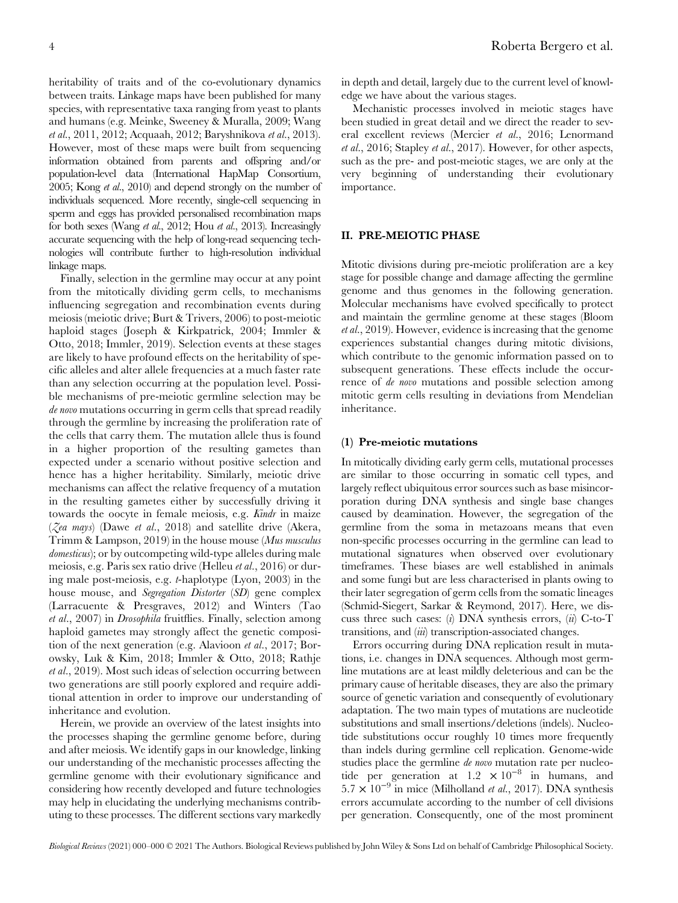heritability of traits and of the co-evolutionary dynamics between traits. Linkage maps have been published for many species, with representative taxa ranging from yeast to plants and humans (e.g. Meinke, Sweeney & Muralla, 2009; Wang et al., 2011, 2012; Acquaah, 2012; Baryshnikova et al., 2013). However, most of these maps were built from sequencing information obtained from parents and offspring and/or population-level data (International HapMap Consortium, 2005; Kong et al., 2010) and depend strongly on the number of individuals sequenced. More recently, single-cell sequencing in sperm and eggs has provided personalised recombination maps for both sexes (Wang et al., 2012; Hou et al., 2013). Increasingly accurate sequencing with the help of long-read sequencing technologies will contribute further to high-resolution individual linkage maps.

Finally, selection in the germline may occur at any point from the mitotically dividing germ cells, to mechanisms influencing segregation and recombination events during meiosis (meiotic drive; Burt & Trivers, 2006) to post-meiotic haploid stages (Joseph & Kirkpatrick, 2004; Immler & Otto, 2018; Immler, 2019). Selection events at these stages are likely to have profound effects on the heritability of specific alleles and alter allele frequencies at a much faster rate than any selection occurring at the population level. Possible mechanisms of pre-meiotic germline selection may be de novo mutations occurring in germ cells that spread readily through the germline by increasing the proliferation rate of the cells that carry them. The mutation allele thus is found in a higher proportion of the resulting gametes than expected under a scenario without positive selection and hence has a higher heritability. Similarly, meiotic drive mechanisms can affect the relative frequency of a mutation in the resulting gametes either by successfully driving it towards the oocyte in female meiosis, e.g. Kindr in maize ( $\zeta$ ea mays) (Dawe et al., 2018) and satellite drive (Akera, Trimm & Lampson, 2019) in the house mouse (Mus musculus domesticus); or by outcompeting wild-type alleles during male meiosis, e.g. Paris sex ratio drive (Helleu et al., 2016) or during male post-meiosis, e.g. t-haplotype (Lyon, 2003) in the house mouse, and *Segregation Distorter* (SD) gene complex (Larracuente & Presgraves, 2012) and Winters (Tao et al., 2007) in Drosophila fruitflies. Finally, selection among haploid gametes may strongly affect the genetic composition of the next generation (e.g. Alavioon et al., 2017; Borowsky, Luk & Kim, 2018; Immler & Otto, 2018; Rathje et al., 2019). Most such ideas of selection occurring between two generations are still poorly explored and require additional attention in order to improve our understanding of inheritance and evolution.

Herein, we provide an overview of the latest insights into the processes shaping the germline genome before, during and after meiosis. We identify gaps in our knowledge, linking our understanding of the mechanistic processes affecting the germline genome with their evolutionary significance and considering how recently developed and future technologies may help in elucidating the underlying mechanisms contributing to these processes. The different sections vary markedly

in depth and detail, largely due to the current level of knowledge we have about the various stages.

Mechanistic processes involved in meiotic stages have been studied in great detail and we direct the reader to several excellent reviews (Mercier et al., 2016; Lenormand et al., 2016; Stapley et al., 2017). However, for other aspects, such as the pre- and post-meiotic stages, we are only at the very beginning of understanding their evolutionary importance.

#### II. PRE-MEIOTIC PHASE

Mitotic divisions during pre-meiotic proliferation are a key stage for possible change and damage affecting the germline genome and thus genomes in the following generation. Molecular mechanisms have evolved specifically to protect and maintain the germline genome at these stages (Bloom et al., 2019). However, evidence is increasing that the genome experiences substantial changes during mitotic divisions, which contribute to the genomic information passed on to subsequent generations. These effects include the occurrence of de novo mutations and possible selection among mitotic germ cells resulting in deviations from Mendelian inheritance.

#### (1) Pre-meiotic mutations

In mitotically dividing early germ cells, mutational processes are similar to those occurring in somatic cell types, and largely reflect ubiquitous error sources such as base misincorporation during DNA synthesis and single base changes caused by deamination. However, the segregation of the germline from the soma in metazoans means that even non-specific processes occurring in the germline can lead to mutational signatures when observed over evolutionary timeframes. These biases are well established in animals and some fungi but are less characterised in plants owing to their later segregation of germ cells from the somatic lineages (Schmid-Siegert, Sarkar & Reymond, 2017). Here, we discuss three such cases: (i) DNA synthesis errors, (ii) C-to-T transitions, and (*iii*) transcription-associated changes.

Errors occurring during DNA replication result in mutations, i.e. changes in DNA sequences. Although most germline mutations are at least mildly deleterious and can be the primary cause of heritable diseases, they are also the primary source of genetic variation and consequently of evolutionary adaptation. The two main types of mutations are nucleotide substitutions and small insertions/deletions (indels). Nucleotide substitutions occur roughly 10 times more frequently than indels during germline cell replication. Genome-wide studies place the germline de novo mutation rate per nucleotide per generation at  $1.2 \times 10^{-8}$  in humans, and  $5.7 \times 10^{-9}$  in mice (Milholland *et al.*, 2017). DNA synthesis errors accumulate according to the number of cell divisions per generation. Consequently, one of the most prominent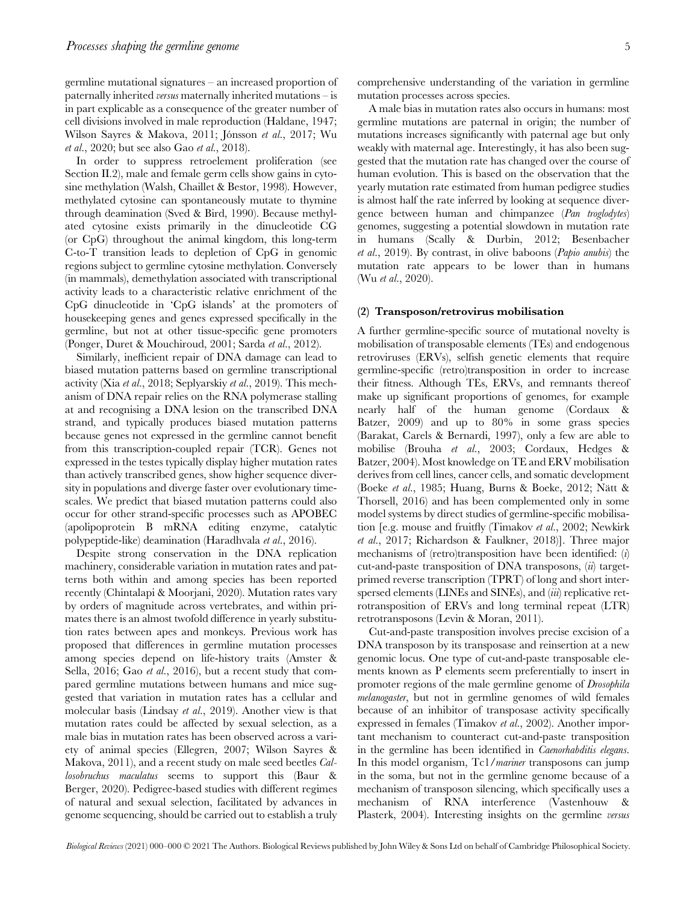germline mutational signatures – an increased proportion of paternally inherited versus maternally inherited mutations – is in part explicable as a consequence of the greater number of cell divisions involved in male reproduction (Haldane, 1947; Wilson Sayres & Makova, 2011; Jónsson et al., 2017; Wu et al., 2020; but see also Gao et al., 2018).

In order to suppress retroelement proliferation (see Section II.2), male and female germ cells show gains in cytosine methylation (Walsh, Chaillet & Bestor, 1998). However, methylated cytosine can spontaneously mutate to thymine through deamination (Sved & Bird, 1990). Because methylated cytosine exists primarily in the dinucleotide CG (or CpG) throughout the animal kingdom, this long-term C-to-T transition leads to depletion of CpG in genomic regions subject to germline cytosine methylation. Conversely (in mammals), demethylation associated with transcriptional activity leads to a characteristic relative enrichment of the CpG dinucleotide in 'CpG islands' at the promoters of housekeeping genes and genes expressed specifically in the germline, but not at other tissue-specific gene promoters (Ponger, Duret & Mouchiroud, 2001; Sarda et al., 2012).

Similarly, inefficient repair of DNA damage can lead to biased mutation patterns based on germline transcriptional activity (Xia et al., 2018; Seplyarskiy et al., 2019). This mechanism of DNA repair relies on the RNA polymerase stalling at and recognising a DNA lesion on the transcribed DNA strand, and typically produces biased mutation patterns because genes not expressed in the germline cannot benefit from this transcription-coupled repair (TCR). Genes not expressed in the testes typically display higher mutation rates than actively transcribed genes, show higher sequence diversity in populations and diverge faster over evolutionary timescales. We predict that biased mutation patterns could also occur for other strand-specific processes such as APOBEC (apolipoprotein B mRNA editing enzyme, catalytic polypeptide-like) deamination (Haradhvala et al., 2016).

Despite strong conservation in the DNA replication machinery, considerable variation in mutation rates and patterns both within and among species has been reported recently (Chintalapi & Moorjani, 2020). Mutation rates vary by orders of magnitude across vertebrates, and within primates there is an almost twofold difference in yearly substitution rates between apes and monkeys. Previous work has proposed that differences in germline mutation processes among species depend on life-history traits (Amster & Sella, 2016; Gao et al., 2016), but a recent study that compared germline mutations between humans and mice suggested that variation in mutation rates has a cellular and molecular basis (Lindsay et al., 2019). Another view is that mutation rates could be affected by sexual selection, as a male bias in mutation rates has been observed across a variety of animal species (Ellegren, 2007; Wilson Sayres & Makova, 2011), and a recent study on male seed beetles Callosobruchus maculatus seems to support this (Baur & Berger, 2020). Pedigree-based studies with different regimes of natural and sexual selection, facilitated by advances in genome sequencing, should be carried out to establish a truly

A male bias in mutation rates also occurs in humans: most germline mutations are paternal in origin; the number of mutations increases significantly with paternal age but only weakly with maternal age. Interestingly, it has also been suggested that the mutation rate has changed over the course of human evolution. This is based on the observation that the yearly mutation rate estimated from human pedigree studies is almost half the rate inferred by looking at sequence divergence between human and chimpanzee (Pan troglodytes) genomes, suggesting a potential slowdown in mutation rate in humans (Scally & Durbin, 2012; Besenbacher et al., 2019). By contrast, in olive baboons (Papio anubis) the mutation rate appears to be lower than in humans (Wu *et al.*, 2020).

#### (2) Transposon/retrovirus mobilisation

A further germline-specific source of mutational novelty is mobilisation of transposable elements (TEs) and endogenous retroviruses (ERVs), selfish genetic elements that require germline-specific (retro)transposition in order to increase their fitness. Although TEs, ERVs, and remnants thereof make up significant proportions of genomes, for example nearly half of the human genome (Cordaux & Batzer, 2009) and up to 80% in some grass species (Barakat, Carels & Bernardi, 1997), only a few are able to mobilise (Brouha et al., 2003; Cordaux, Hedges & Batzer, 2004). Most knowledge on TE and ERV mobilisation derives from cell lines, cancer cells, and somatic development (Boeke et al., 1985; Huang, Burns & Boeke, 2012; Nätt & Thorsell, 2016) and has been complemented only in some model systems by direct studies of germline-specific mobilisation [e.g. mouse and fruitfly (Timakov et al., 2002; Newkirk et al., 2017; Richardson & Faulkner, 2018)]. Three major mechanisms of (retro)transposition have been identified: (i) cut-and-paste transposition of DNA transposons,  $\langle i \rangle$  targetprimed reverse transcription (TPRT) of long and short interspersed elements (LINEs and SINEs), and *(iii)* replicative retrotransposition of ERVs and long terminal repeat (LTR) retrotransposons (Levin & Moran, 2011).

Cut-and-paste transposition involves precise excision of a DNA transposon by its transposase and reinsertion at a new genomic locus. One type of cut-and-paste transposable elements known as P elements seem preferentially to insert in promoter regions of the male germline genome of Drosophila melanogaster, but not in germline genomes of wild females because of an inhibitor of transposase activity specifically expressed in females (Timakov et al., 2002). Another important mechanism to counteract cut-and-paste transposition in the germline has been identified in Caenorhabditis elegans. In this model organism, Tc1/mariner transposons can jump in the soma, but not in the germline genome because of a mechanism of transposon silencing, which specifically uses a mechanism of RNA interference (Vastenhouw & Plasterk, 2004). Interesting insights on the germline versus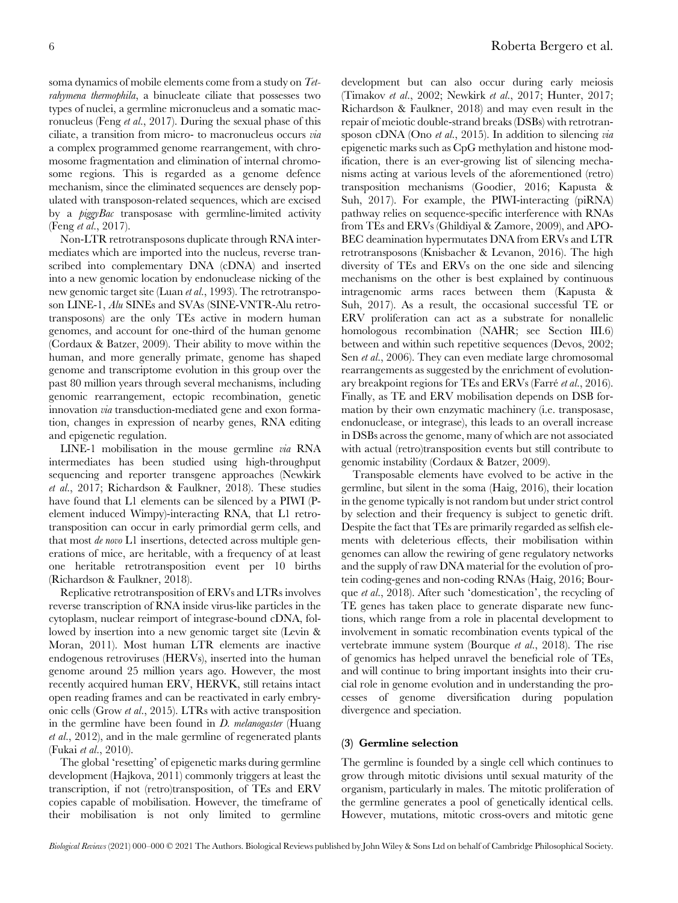soma dynamics of mobile elements come from a study on Tetrahymena thermophila, a binucleate ciliate that possesses two types of nuclei, a germline micronucleus and a somatic macronucleus (Feng et al., 2017). During the sexual phase of this ciliate, a transition from micro- to macronucleus occurs via a complex programmed genome rearrangement, with chromosome fragmentation and elimination of internal chromosome regions. This is regarded as a genome defence mechanism, since the eliminated sequences are densely populated with transposon-related sequences, which are excised by a piggyBac transposase with germline-limited activity (Feng et al., 2017).

Non-LTR retrotransposons duplicate through RNA intermediates which are imported into the nucleus, reverse transcribed into complementary DNA (cDNA) and inserted into a new genomic location by endonuclease nicking of the new genomic target site (Luan *et al.*, 1993). The retrotransposon LINE-1, Alu SINEs and SVAs (SINE-VNTR-Alu retrotransposons) are the only TEs active in modern human genomes, and account for one-third of the human genome (Cordaux & Batzer, 2009). Their ability to move within the human, and more generally primate, genome has shaped genome and transcriptome evolution in this group over the past 80 million years through several mechanisms, including genomic rearrangement, ectopic recombination, genetic innovation via transduction-mediated gene and exon formation, changes in expression of nearby genes, RNA editing and epigenetic regulation.

LINE-1 mobilisation in the mouse germline via RNA intermediates has been studied using high-throughput sequencing and reporter transgene approaches (Newkirk et al., 2017; Richardson & Faulkner, 2018). These studies have found that L1 elements can be silenced by a PIWI (Pelement induced Wimpy)-interacting RNA, that L1 retrotransposition can occur in early primordial germ cells, and that most de novo L1 insertions, detected across multiple generations of mice, are heritable, with a frequency of at least one heritable retrotransposition event per 10 births (Richardson & Faulkner, 2018).

Replicative retrotransposition of ERVs and LTRs involves reverse transcription of RNA inside virus-like particles in the cytoplasm, nuclear reimport of integrase-bound cDNA, followed by insertion into a new genomic target site (Levin & Moran, 2011). Most human LTR elements are inactive endogenous retroviruses (HERVs), inserted into the human genome around 25 million years ago. However, the most recently acquired human ERV, HERVK, still retains intact open reading frames and can be reactivated in early embryonic cells (Grow et al., 2015). LTRs with active transposition in the germline have been found in  $D$ . melanogaster (Huang et al., 2012), and in the male germline of regenerated plants (Fukai et al., 2010).

The global 'resetting' of epigenetic marks during germline development (Hajkova, 2011) commonly triggers at least the transcription, if not (retro)transposition, of TEs and ERV copies capable of mobilisation. However, the timeframe of their mobilisation is not only limited to germline

development but can also occur during early meiosis (Timakov et al., 2002; Newkirk et al., 2017; Hunter, 2017; Richardson & Faulkner, 2018) and may even result in the repair of meiotic double-strand breaks (DSBs) with retrotransposon cDNA (Ono et al., 2015). In addition to silencing via epigenetic marks such as CpG methylation and histone modification, there is an ever-growing list of silencing mechanisms acting at various levels of the aforementioned (retro) transposition mechanisms (Goodier, 2016; Kapusta & Suh, 2017). For example, the PIWI-interacting (piRNA) pathway relies on sequence-specific interference with RNAs from TEs and ERVs (Ghildiyal & Zamore, 2009), and APO-BEC deamination hypermutates DNA from ERVs and LTR retrotransposons (Knisbacher & Levanon, 2016). The high diversity of TEs and ERVs on the one side and silencing mechanisms on the other is best explained by continuous intragenomic arms races between them (Kapusta & Suh, 2017). As a result, the occasional successful TE or ERV proliferation can act as a substrate for nonallelic homologous recombination (NAHR; see Section III.6) between and within such repetitive sequences (Devos, 2002; Sen *et al.*, 2006). They can even mediate large chromosomal rearrangements as suggested by the enrichment of evolutionary breakpoint regions for TEs and ERVs (Farré et al., 2016). Finally, as TE and ERV mobilisation depends on DSB formation by their own enzymatic machinery (i.e. transposase, endonuclease, or integrase), this leads to an overall increase in DSBs across the genome, many of which are not associated with actual (retro)transposition events but still contribute to genomic instability (Cordaux & Batzer, 2009).

Transposable elements have evolved to be active in the germline, but silent in the soma (Haig, 2016), their location in the genome typically is not random but under strict control by selection and their frequency is subject to genetic drift. Despite the fact that TEs are primarily regarded as selfish elements with deleterious effects, their mobilisation within genomes can allow the rewiring of gene regulatory networks and the supply of raw DNA material for the evolution of protein coding-genes and non-coding RNAs (Haig, 2016; Bourque et al., 2018). After such 'domestication', the recycling of TE genes has taken place to generate disparate new functions, which range from a role in placental development to involvement in somatic recombination events typical of the vertebrate immune system (Bourque et al., 2018). The rise of genomics has helped unravel the beneficial role of TEs, and will continue to bring important insights into their crucial role in genome evolution and in understanding the processes of genome diversification during population divergence and speciation.

#### (3) Germline selection

The germline is founded by a single cell which continues to grow through mitotic divisions until sexual maturity of the organism, particularly in males. The mitotic proliferation of the germline generates a pool of genetically identical cells. However, mutations, mitotic cross-overs and mitotic gene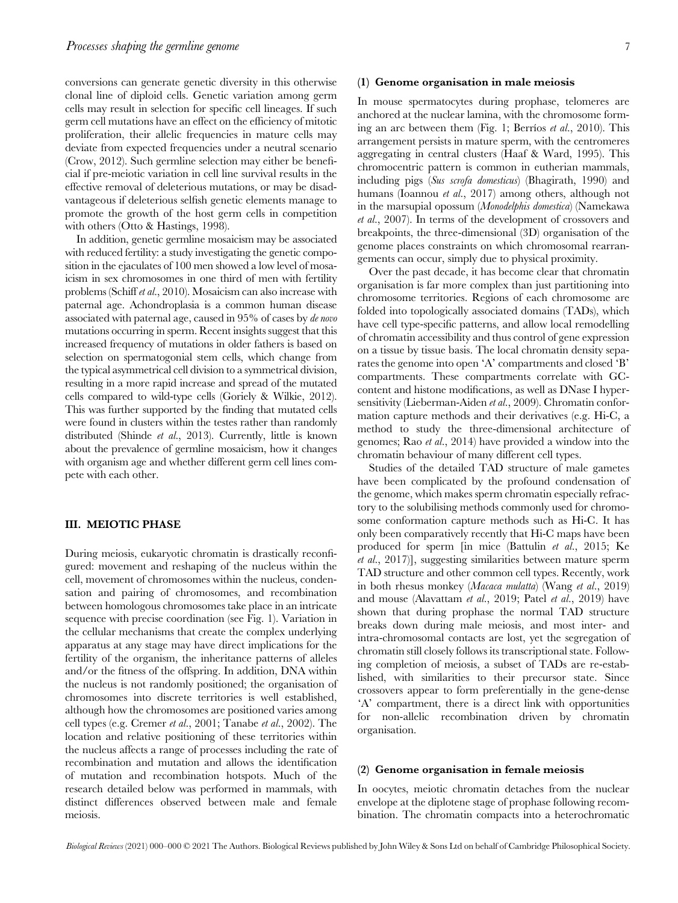conversions can generate genetic diversity in this otherwise clonal line of diploid cells. Genetic variation among germ cells may result in selection for specific cell lineages. If such germ cell mutations have an effect on the efficiency of mitotic proliferation, their allelic frequencies in mature cells may deviate from expected frequencies under a neutral scenario (Crow, 2012). Such germline selection may either be beneficial if pre-meiotic variation in cell line survival results in the effective removal of deleterious mutations, or may be disadvantageous if deleterious selfish genetic elements manage to promote the growth of the host germ cells in competition with others (Otto & Hastings, 1998).

In addition, genetic germline mosaicism may be associated with reduced fertility: a study investigating the genetic composition in the ejaculates of 100 men showed a low level of mosaicism in sex chromosomes in one third of men with fertility problems (Schiff et al., 2010). Mosaicism can also increase with paternal age. Achondroplasia is a common human disease associated with paternal age, caused in 95% of cases by de novo mutations occurring in sperm. Recent insights suggest that this increased frequency of mutations in older fathers is based on selection on spermatogonial stem cells, which change from the typical asymmetrical cell division to a symmetrical division, resulting in a more rapid increase and spread of the mutated cells compared to wild-type cells (Goriely & Wilkie, 2012). This was further supported by the finding that mutated cells were found in clusters within the testes rather than randomly distributed (Shinde et al., 2013). Currently, little is known about the prevalence of germline mosaicism, how it changes with organism age and whether different germ cell lines compete with each other.

#### III. MEIOTIC PHASE

During meiosis, eukaryotic chromatin is drastically reconfigured: movement and reshaping of the nucleus within the cell, movement of chromosomes within the nucleus, condensation and pairing of chromosomes, and recombination between homologous chromosomes take place in an intricate sequence with precise coordination (see Fig. 1). Variation in the cellular mechanisms that create the complex underlying apparatus at any stage may have direct implications for the fertility of the organism, the inheritance patterns of alleles and/or the fitness of the offspring. In addition, DNA within the nucleus is not randomly positioned; the organisation of chromosomes into discrete territories is well established, although how the chromosomes are positioned varies among cell types (e.g. Cremer et al., 2001; Tanabe et al., 2002). The location and relative positioning of these territories within the nucleus affects a range of processes including the rate of recombination and mutation and allows the identification of mutation and recombination hotspots. Much of the research detailed below was performed in mammals, with distinct differences observed between male and female meiosis.

#### (1) Genome organisation in male meiosis

In mouse spermatocytes during prophase, telomeres are anchored at the nuclear lamina, with the chromosome forming an arc between them (Fig. 1; Berríos et al., 2010). This arrangement persists in mature sperm, with the centromeres aggregating in central clusters (Haaf & Ward, 1995). This chromocentric pattern is common in eutherian mammals, including pigs (Sus scrofa domesticus) (Bhagirath, 1990) and humans (Ioannou et al., 2017) among others, although not in the marsupial opossum (Monodelphis domestica) (Namekawa et al., 2007). In terms of the development of crossovers and breakpoints, the three-dimensional (3D) organisation of the genome places constraints on which chromosomal rearrangements can occur, simply due to physical proximity.

Over the past decade, it has become clear that chromatin organisation is far more complex than just partitioning into chromosome territories. Regions of each chromosome are folded into topologically associated domains (TADs), which have cell type-specific patterns, and allow local remodelling of chromatin accessibility and thus control of gene expression on a tissue by tissue basis. The local chromatin density separates the genome into open 'A' compartments and closed 'B' compartments. These compartments correlate with GCcontent and histone modifications, as well as DNase I hypersensitivity (Lieberman-Aiden et al., 2009). Chromatin conformation capture methods and their derivatives (e.g. Hi-C, a method to study the three-dimensional architecture of genomes; Rao et al., 2014) have provided a window into the chromatin behaviour of many different cell types.

Studies of the detailed TAD structure of male gametes have been complicated by the profound condensation of the genome, which makes sperm chromatin especially refractory to the solubilising methods commonly used for chromosome conformation capture methods such as Hi-C. It has only been comparatively recently that Hi-C maps have been produced for sperm [in mice (Battulin et al., 2015; Ke et al., 2017)], suggesting similarities between mature sperm TAD structure and other common cell types. Recently, work in both rhesus monkey (Macaca mulatta) (Wang et al., 2019) and mouse (Alavattam et al., 2019; Patel et al., 2019) have shown that during prophase the normal TAD structure breaks down during male meiosis, and most inter- and intra-chromosomal contacts are lost, yet the segregation of chromatin still closely follows its transcriptional state. Following completion of meiosis, a subset of TADs are re-established, with similarities to their precursor state. Since crossovers appear to form preferentially in the gene-dense 'A' compartment, there is a direct link with opportunities for non-allelic recombination driven by chromatin organisation.

#### (2) Genome organisation in female meiosis

In oocytes, meiotic chromatin detaches from the nuclear envelope at the diplotene stage of prophase following recombination. The chromatin compacts into a heterochromatic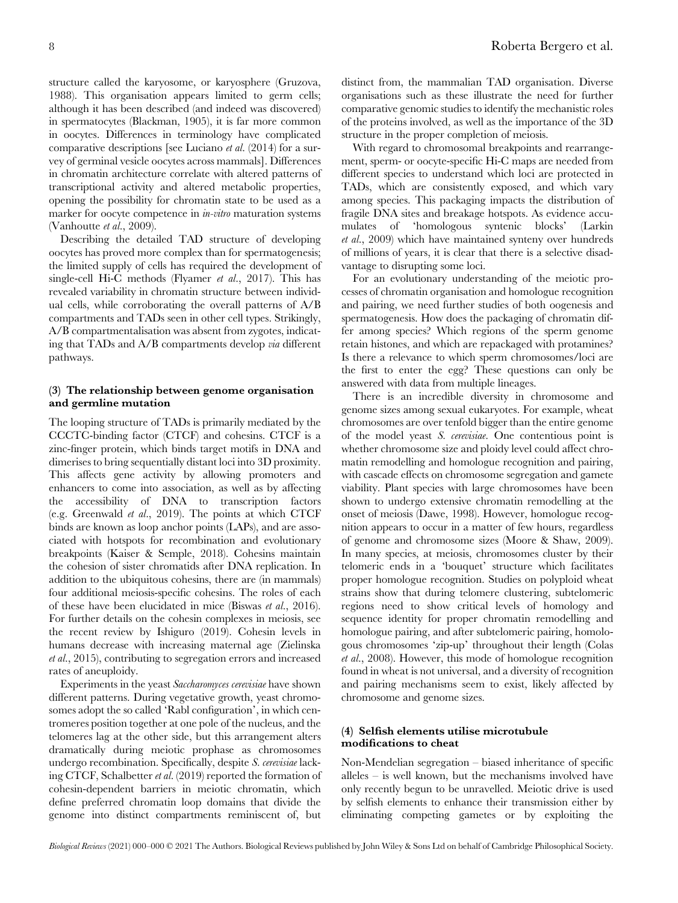structure called the karyosome, or karyosphere (Gruzova, 1988). This organisation appears limited to germ cells; although it has been described (and indeed was discovered) in spermatocytes (Blackman, 1905), it is far more common in oocytes. Differences in terminology have complicated comparative descriptions [see Luciano  $et al. (2014)$  for a survey of germinal vesicle oocytes across mammals]. Differences in chromatin architecture correlate with altered patterns of transcriptional activity and altered metabolic properties, opening the possibility for chromatin state to be used as a marker for oocyte competence in in-vitro maturation systems (Vanhoutte et al., 2009).

Describing the detailed TAD structure of developing oocytes has proved more complex than for spermatogenesis; the limited supply of cells has required the development of single-cell Hi-C methods (Flyamer et al., 2017). This has revealed variability in chromatin structure between individual cells, while corroborating the overall patterns of A/B compartments and TADs seen in other cell types. Strikingly, A/B compartmentalisation was absent from zygotes, indicating that TADs and A/B compartments develop via different pathways.

#### (3) The relationship between genome organisation and germline mutation

The looping structure of TADs is primarily mediated by the CCCTC-binding factor (CTCF) and cohesins. CTCF is a zinc-finger protein, which binds target motifs in DNA and dimerises to bring sequentially distant loci into 3D proximity. This affects gene activity by allowing promoters and enhancers to come into association, as well as by affecting the accessibility of DNA to transcription factors (e.g. Greenwald et al., 2019). The points at which CTCF binds are known as loop anchor points (LAPs), and are associated with hotspots for recombination and evolutionary breakpoints (Kaiser & Semple, 2018). Cohesins maintain the cohesion of sister chromatids after DNA replication. In addition to the ubiquitous cohesins, there are (in mammals) four additional meiosis-specific cohesins. The roles of each of these have been elucidated in mice (Biswas et al., 2016). For further details on the cohesin complexes in meiosis, see the recent review by Ishiguro (2019). Cohesin levels in humans decrease with increasing maternal age (Zielinska et al., 2015), contributing to segregation errors and increased rates of aneuploidy.

Experiments in the yeast Saccharomyces cerevisiae have shown different patterns. During vegetative growth, yeast chromosomes adopt the so called 'Rabl configuration', in which centromeres position together at one pole of the nucleus, and the telomeres lag at the other side, but this arrangement alters dramatically during meiotic prophase as chromosomes undergo recombination. Specifically, despite S. cerevisiae lacking CTCF, Schalbetter et al. (2019) reported the formation of cohesin-dependent barriers in meiotic chromatin, which define preferred chromatin loop domains that divide the genome into distinct compartments reminiscent of, but

distinct from, the mammalian TAD organisation. Diverse organisations such as these illustrate the need for further comparative genomic studies to identify the mechanistic roles of the proteins involved, as well as the importance of the 3D structure in the proper completion of meiosis.

With regard to chromosomal breakpoints and rearrangement, sperm- or oocyte-specific Hi-C maps are needed from different species to understand which loci are protected in TADs, which are consistently exposed, and which vary among species. This packaging impacts the distribution of fragile DNA sites and breakage hotspots. As evidence accumulates of 'homologous syntenic blocks' (Larkin et al., 2009) which have maintained synteny over hundreds of millions of years, it is clear that there is a selective disadvantage to disrupting some loci.

For an evolutionary understanding of the meiotic processes of chromatin organisation and homologue recognition and pairing, we need further studies of both oogenesis and spermatogenesis. How does the packaging of chromatin differ among species? Which regions of the sperm genome retain histones, and which are repackaged with protamines? Is there a relevance to which sperm chromosomes/loci are the first to enter the egg? These questions can only be answered with data from multiple lineages.

There is an incredible diversity in chromosome and genome sizes among sexual eukaryotes. For example, wheat chromosomes are over tenfold bigger than the entire genome of the model yeast S. cerevisiae. One contentious point is whether chromosome size and ploidy level could affect chromatin remodelling and homologue recognition and pairing, with cascade effects on chromosome segregation and gamete viability. Plant species with large chromosomes have been shown to undergo extensive chromatin remodelling at the onset of meiosis (Dawe, 1998). However, homologue recognition appears to occur in a matter of few hours, regardless of genome and chromosome sizes (Moore & Shaw, 2009). In many species, at meiosis, chromosomes cluster by their telomeric ends in a 'bouquet' structure which facilitates proper homologue recognition. Studies on polyploid wheat strains show that during telomere clustering, subtelomeric regions need to show critical levels of homology and sequence identity for proper chromatin remodelling and homologue pairing, and after subtelomeric pairing, homologous chromosomes 'zip-up' throughout their length (Colas et al., 2008). However, this mode of homologue recognition found in wheat is not universal, and a diversity of recognition and pairing mechanisms seem to exist, likely affected by chromosome and genome sizes.

#### (4) Selfish elements utilise microtubule modifications to cheat

Non-Mendelian segregation – biased inheritance of specific alleles – is well known, but the mechanisms involved have only recently begun to be unravelled. Meiotic drive is used by selfish elements to enhance their transmission either by eliminating competing gametes or by exploiting the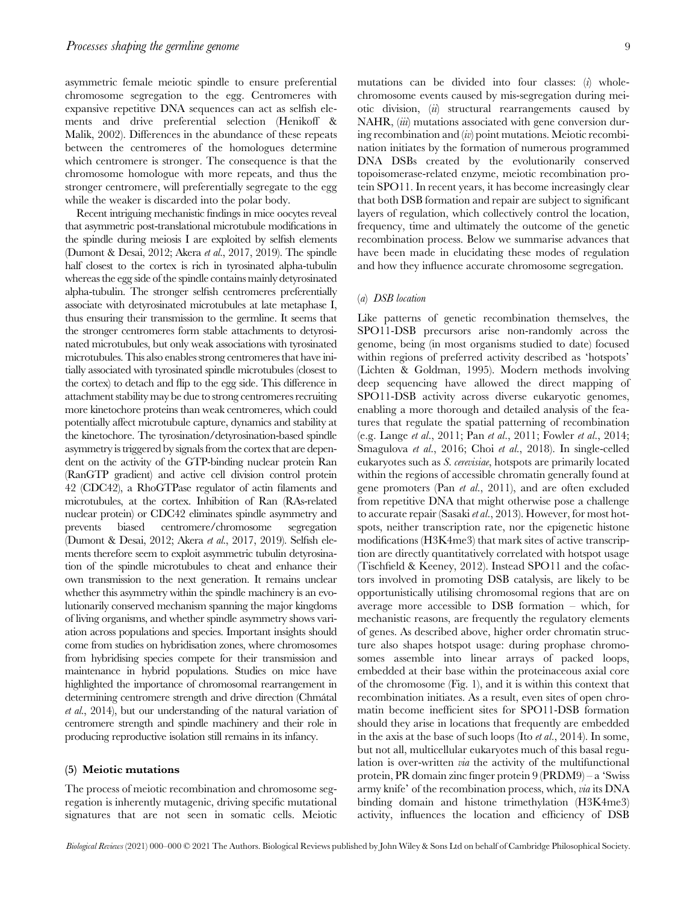asymmetric female meiotic spindle to ensure preferential chromosome segregation to the egg. Centromeres with expansive repetitive DNA sequences can act as selfish elements and drive preferential selection (Henikoff & Malik, 2002). Differences in the abundance of these repeats between the centromeres of the homologues determine which centromere is stronger. The consequence is that the chromosome homologue with more repeats, and thus the stronger centromere, will preferentially segregate to the egg while the weaker is discarded into the polar body.

Recent intriguing mechanistic findings in mice oocytes reveal that asymmetric post-translational microtubule modifications in the spindle during meiosis I are exploited by selfish elements (Dumont & Desai, 2012; Akera et al., 2017, 2019). The spindle half closest to the cortex is rich in tyrosinated alpha-tubulin whereas the egg side of the spindle contains mainly detyrosinated alpha-tubulin. The stronger selfish centromeres preferentially associate with detyrosinated microtubules at late metaphase I, thus ensuring their transmission to the germline. It seems that the stronger centromeres form stable attachments to detyrosinated microtubules, but only weak associations with tyrosinated microtubules. This also enables strong centromeres that have initially associated with tyrosinated spindle microtubules (closest to the cortex) to detach and flip to the egg side. This difference in attachment stability may be due to strong centromeres recruiting more kinetochore proteins than weak centromeres, which could potentially affect microtubule capture, dynamics and stability at the kinetochore. The tyrosination/detyrosination-based spindle asymmetry is triggered by signals from the cortex that are dependent on the activity of the GTP-binding nuclear protein Ran (RanGTP gradient) and active cell division control protein 42 (CDC42), a RhoGTPase regulator of actin filaments and microtubules, at the cortex. Inhibition of Ran (RAs-related nuclear protein) or CDC42 eliminates spindle asymmetry and prevents biased centromere/chromosome segregation (Dumont & Desai, 2012; Akera et al., 2017, 2019). Selfish elements therefore seem to exploit asymmetric tubulin detyrosination of the spindle microtubules to cheat and enhance their own transmission to the next generation. It remains unclear whether this asymmetry within the spindle machinery is an evolutionarily conserved mechanism spanning the major kingdoms of living organisms, and whether spindle asymmetry shows variation across populations and species. Important insights should come from studies on hybridisation zones, where chromosomes from hybridising species compete for their transmission and maintenance in hybrid populations. Studies on mice have highlighted the importance of chromosomal rearrangement in determining centromere strength and drive direction (Chmátal et al., 2014), but our understanding of the natural variation of centromere strength and spindle machinery and their role in producing reproductive isolation still remains in its infancy.

#### (5) Meiotic mutations

The process of meiotic recombination and chromosome segregation is inherently mutagenic, driving specific mutational signatures that are not seen in somatic cells. Meiotic

mutations can be divided into four classes:  $(i)$  wholechromosome events caused by mis-segregation during meiotic division, (ii) structural rearrangements caused by NAHR, *(iii)* mutations associated with gene conversion during recombination and  $(iv)$  point mutations. Meiotic recombination initiates by the formation of numerous programmed DNA DSBs created by the evolutionarily conserved topoisomerase-related enzyme, meiotic recombination protein SPO11. In recent years, it has become increasingly clear that both DSB formation and repair are subject to significant layers of regulation, which collectively control the location, frequency, time and ultimately the outcome of the genetic recombination process. Below we summarise advances that have been made in elucidating these modes of regulation and how they influence accurate chromosome segregation.

#### (a) DSB location

Like patterns of genetic recombination themselves, the SPO11-DSB precursors arise non-randomly across the genome, being (in most organisms studied to date) focused within regions of preferred activity described as 'hotspots' (Lichten & Goldman, 1995). Modern methods involving deep sequencing have allowed the direct mapping of SPO11-DSB activity across diverse eukaryotic genomes, enabling a more thorough and detailed analysis of the features that regulate the spatial patterning of recombination (e.g. Lange et al., 2011; Pan et al., 2011; Fowler et al., 2014; Smagulova et al., 2016; Choi et al., 2018). In single-celled eukaryotes such as S. cerevisiae, hotspots are primarily located within the regions of accessible chromatin generally found at gene promoters (Pan et al., 2011), and are often excluded from repetitive DNA that might otherwise pose a challenge to accurate repair (Sasaki et al., 2013). However, for most hotspots, neither transcription rate, nor the epigenetic histone modifications (H3K4me3) that mark sites of active transcription are directly quantitatively correlated with hotspot usage (Tischfield & Keeney, 2012). Instead SPO11 and the cofactors involved in promoting DSB catalysis, are likely to be opportunistically utilising chromosomal regions that are on average more accessible to DSB formation – which, for mechanistic reasons, are frequently the regulatory elements of genes. As described above, higher order chromatin structure also shapes hotspot usage: during prophase chromosomes assemble into linear arrays of packed loops, embedded at their base within the proteinaceous axial core of the chromosome (Fig. 1), and it is within this context that recombination initiates. As a result, even sites of open chromatin become inefficient sites for SPO11-DSB formation should they arise in locations that frequently are embedded in the axis at the base of such loops (Ito et al., 2014). In some, but not all, multicellular eukaryotes much of this basal regulation is over-written via the activity of the multifunctional protein, PR domain zinc finger protein 9 (PRDM9) – a 'Swiss army knife' of the recombination process, which, via its DNA binding domain and histone trimethylation (H3K4me3) activity, influences the location and efficiency of DSB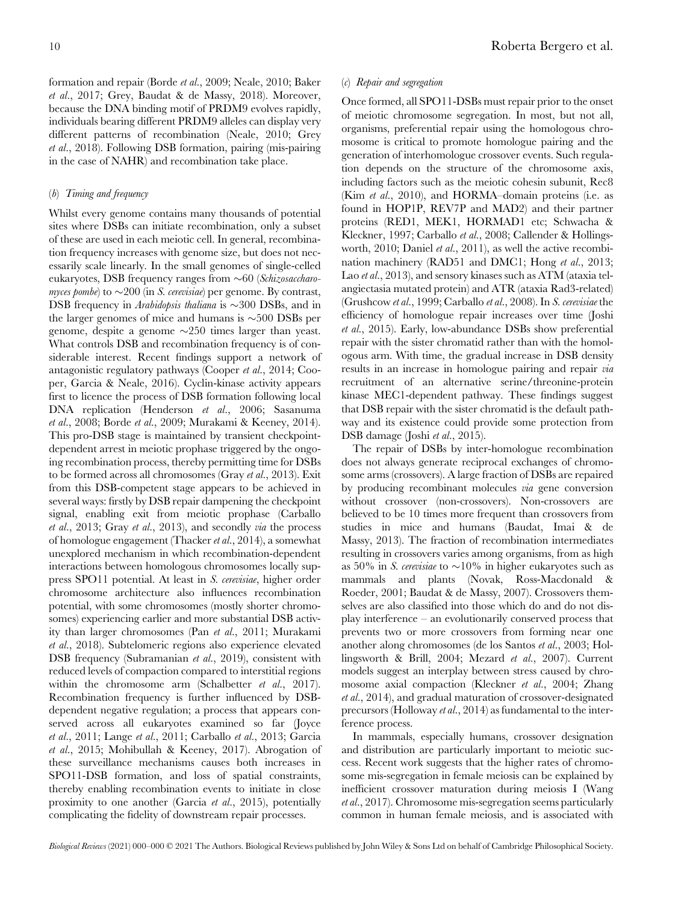formation and repair (Borde et al., 2009; Neale, 2010; Baker et al., 2017; Grey, Baudat & de Massy, 2018). Moreover, because the DNA binding motif of PRDM9 evolves rapidly, individuals bearing different PRDM9 alleles can display very different patterns of recombination (Neale, 2010; Grey et al., 2018). Following DSB formation, pairing (mis-pairing in the case of NAHR) and recombination take place.

#### (b) Timing and frequency

Whilst every genome contains many thousands of potential sites where DSBs can initiate recombination, only a subset of these are used in each meiotic cell. In general, recombination frequency increases with genome size, but does not necessarily scale linearly. In the small genomes of single-celled eukaryotes, DSB frequency ranges from  $\sim 60$  (Schizosaccharomyces pombe) to  $\sim$ 200 (in S. cerevisiae) per genome. By contrast, DSB frequency in Arabidopsis thaliana is  $\sim$ 300 DSBs, and in the larger genomes of mice and humans is  $\sim$ 500 DSBs per genome, despite a genome  $\sim$ 250 times larger than yeast. What controls DSB and recombination frequency is of considerable interest. Recent findings support a network of antagonistic regulatory pathways (Cooper et al., 2014; Cooper, Garcia & Neale, 2016). Cyclin-kinase activity appears first to licence the process of DSB formation following local DNA replication (Henderson et al., 2006; Sasanuma et al., 2008; Borde et al., 2009; Murakami & Keeney, 2014). This pro-DSB stage is maintained by transient checkpointdependent arrest in meiotic prophase triggered by the ongoing recombination process, thereby permitting time for DSBs to be formed across all chromosomes (Gray et al., 2013). Exit from this DSB-competent stage appears to be achieved in several ways: firstly by DSB repair dampening the checkpoint signal, enabling exit from meiotic prophase (Carballo et al., 2013; Gray et al., 2013), and secondly via the process of homologue engagement (Thacker et al., 2014), a somewhat unexplored mechanism in which recombination-dependent interactions between homologous chromosomes locally suppress SPO11 potential. At least in S. cerevisiae, higher order chromosome architecture also influences recombination potential, with some chromosomes (mostly shorter chromosomes) experiencing earlier and more substantial DSB activity than larger chromosomes (Pan et al., 2011; Murakami et al., 2018). Subtelomeric regions also experience elevated DSB frequency (Subramanian et al., 2019), consistent with reduced levels of compaction compared to interstitial regions within the chromosome arm (Schalbetter et al., 2017). Recombination frequency is further influenced by DSBdependent negative regulation; a process that appears conserved across all eukaryotes examined so far (Joyce et al., 2011; Lange et al., 2011; Carballo et al., 2013; Garcia et al., 2015; Mohibullah & Keeney, 2017). Abrogation of these surveillance mechanisms causes both increases in SPO11-DSB formation, and loss of spatial constraints, thereby enabling recombination events to initiate in close proximity to one another (Garcia et al., 2015), potentially complicating the fidelity of downstream repair processes.

#### (c) Repair and segregation

Once formed, all SPO11-DSBs must repair prior to the onset of meiotic chromosome segregation. In most, but not all, organisms, preferential repair using the homologous chromosome is critical to promote homologue pairing and the generation of interhomologue crossover events. Such regulation depends on the structure of the chromosome axis, including factors such as the meiotic cohesin subunit, Rec8 (Kim et al., 2010), and HORMA–domain proteins (i.e. as found in HOP1P, REV7P and MAD2) and their partner proteins (RED1, MEK1, HORMAD1 etc; Schwacha & Kleckner, 1997; Carballo et al., 2008; Callender & Hollingsworth, 2010; Daniel et al., 2011), as well the active recombination machinery (RAD51 and DMC1; Hong et al., 2013; Lao et al., 2013), and sensory kinases such as ATM (ataxia telangiectasia mutated protein) and ATR (ataxia Rad3-related) (Grushcow et al., 1999; Carballo et al., 2008). In S. cerevisiae the efficiency of homologue repair increases over time (Joshi et al., 2015). Early, low-abundance DSBs show preferential repair with the sister chromatid rather than with the homologous arm. With time, the gradual increase in DSB density results in an increase in homologue pairing and repair *via* recruitment of an alternative serine/threonine-protein kinase MEC1-dependent pathway. These findings suggest that DSB repair with the sister chromatid is the default pathway and its existence could provide some protection from DSB damage (Joshi et al., 2015).

The repair of DSBs by inter-homologue recombination does not always generate reciprocal exchanges of chromosome arms (crossovers). A large fraction of DSBs are repaired by producing recombinant molecules via gene conversion without crossover (non-crossovers). Non-crossovers are believed to be 10 times more frequent than crossovers from studies in mice and humans (Baudat, Imai & de Massy, 2013). The fraction of recombination intermediates resulting in crossovers varies among organisms, from as high as 50% in S. cerevisiae to  $\sim$ 10% in higher eukaryotes such as mammals and plants (Novak, Ross-Macdonald & Roeder, 2001; Baudat & de Massy, 2007). Crossovers themselves are also classified into those which do and do not display interference – an evolutionarily conserved process that prevents two or more crossovers from forming near one another along chromosomes (de los Santos et al., 2003; Hollingsworth & Brill, 2004; Mezard et al., 2007). Current models suggest an interplay between stress caused by chromosome axial compaction (Kleckner et al., 2004; Zhang et al., 2014), and gradual maturation of crossover-designated precursors (Holloway et al., 2014) as fundamental to the interference process.

In mammals, especially humans, crossover designation and distribution are particularly important to meiotic success. Recent work suggests that the higher rates of chromosome mis-segregation in female meiosis can be explained by inefficient crossover maturation during meiosis I (Wang et al., 2017). Chromosome mis-segregation seems particularly common in human female meiosis, and is associated with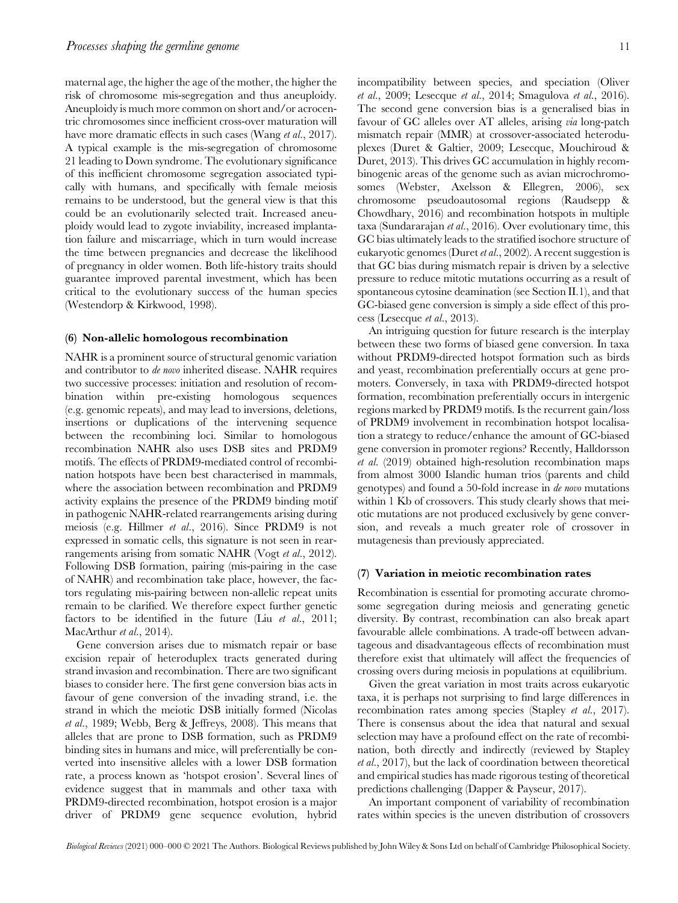maternal age, the higher the age of the mother, the higher the risk of chromosome mis-segregation and thus aneuploidy. Aneuploidy is much more common on short and/or acrocentric chromosomes since inefficient cross-over maturation will have more dramatic effects in such cases (Wang *et al.*, 2017). A typical example is the mis-segregation of chromosome 21 leading to Down syndrome. The evolutionary significance of this inefficient chromosome segregation associated typically with humans, and specifically with female meiosis remains to be understood, but the general view is that this could be an evolutionarily selected trait. Increased aneuploidy would lead to zygote inviability, increased implantation failure and miscarriage, which in turn would increase the time between pregnancies and decrease the likelihood of pregnancy in older women. Both life-history traits should guarantee improved parental investment, which has been critical to the evolutionary success of the human species (Westendorp & Kirkwood, 1998).

#### (6) Non-allelic homologous recombination

NAHR is a prominent source of structural genomic variation and contributor to de novo inherited disease. NAHR requires two successive processes: initiation and resolution of recombination within pre-existing homologous sequences (e.g. genomic repeats), and may lead to inversions, deletions, insertions or duplications of the intervening sequence between the recombining loci. Similar to homologous recombination NAHR also uses DSB sites and PRDM9 motifs. The effects of PRDM9-mediated control of recombination hotspots have been best characterised in mammals, where the association between recombination and PRDM9 activity explains the presence of the PRDM9 binding motif in pathogenic NAHR-related rearrangements arising during meiosis (e.g. Hillmer et al., 2016). Since PRDM9 is not expressed in somatic cells, this signature is not seen in rearrangements arising from somatic NAHR (Vogt et al., 2012). Following DSB formation, pairing (mis-pairing in the case of NAHR) and recombination take place, however, the factors regulating mis-pairing between non-allelic repeat units remain to be clarified. We therefore expect further genetic factors to be identified in the future (Liu  $et \ al., 2011;$ MacArthur et al., 2014).

Gene conversion arises due to mismatch repair or base excision repair of heteroduplex tracts generated during strand invasion and recombination. There are two significant biases to consider here. The first gene conversion bias acts in favour of gene conversion of the invading strand, i.e. the strand in which the meiotic DSB initially formed (Nicolas et al., 1989; Webb, Berg & Jeffreys, 2008). This means that alleles that are prone to DSB formation, such as PRDM9 binding sites in humans and mice, will preferentially be converted into insensitive alleles with a lower DSB formation rate, a process known as 'hotspot erosion'. Several lines of evidence suggest that in mammals and other taxa with PRDM9-directed recombination, hotspot erosion is a major driver of PRDM9 gene sequence evolution, hybrid

incompatibility between species, and speciation (Oliver  $et \ al.,\ 2009;$  Lesecque  $et \ al.,\ 2014;$  Smagulova  $et \ al.,\ 2016$ ). The second gene conversion bias is a generalised bias in favour of GC alleles over AT alleles, arising via long-patch mismatch repair (MMR) at crossover-associated heteroduplexes (Duret & Galtier, 2009; Lesecque, Mouchiroud & Duret, 2013). This drives GC accumulation in highly recombinogenic areas of the genome such as avian microchromosomes (Webster, Axelsson & Ellegren, 2006), sex chromosome pseudoautosomal regions (Raudsepp & Chowdhary, 2016) and recombination hotspots in multiple taxa (Sundararajan et al., 2016). Over evolutionary time, this GC bias ultimately leads to the stratified isochore structure of eukaryotic genomes (Duret et al., 2002). A recent suggestion is that GC bias during mismatch repair is driven by a selective pressure to reduce mitotic mutations occurring as a result of spontaneous cytosine deamination (see Section II.1), and that GC-biased gene conversion is simply a side effect of this process (Lesecque et al., 2013).

An intriguing question for future research is the interplay between these two forms of biased gene conversion. In taxa without PRDM9-directed hotspot formation such as birds and yeast, recombination preferentially occurs at gene promoters. Conversely, in taxa with PRDM9-directed hotspot formation, recombination preferentially occurs in intergenic regions marked by PRDM9 motifs. Is the recurrent gain/loss of PRDM9 involvement in recombination hotspot localisation a strategy to reduce/enhance the amount of GC-biased gene conversion in promoter regions? Recently, Halldorsson et al. (2019) obtained high-resolution recombination maps from almost 3000 Islandic human trios (parents and child genotypes) and found a 50-fold increase in de novo mutations within 1 Kb of crossovers. This study clearly shows that meiotic mutations are not produced exclusively by gene conversion, and reveals a much greater role of crossover in mutagenesis than previously appreciated.

#### (7) Variation in meiotic recombination rates

Recombination is essential for promoting accurate chromosome segregation during meiosis and generating genetic diversity. By contrast, recombination can also break apart favourable allele combinations. A trade-off between advantageous and disadvantageous effects of recombination must therefore exist that ultimately will affect the frequencies of crossing overs during meiosis in populations at equilibrium.

Given the great variation in most traits across eukaryotic taxa, it is perhaps not surprising to find large differences in recombination rates among species (Stapley *et al.*, 2017). There is consensus about the idea that natural and sexual selection may have a profound effect on the rate of recombination, both directly and indirectly (reviewed by Stapley et al., 2017), but the lack of coordination between theoretical and empirical studies has made rigorous testing of theoretical predictions challenging (Dapper & Payseur, 2017).

An important component of variability of recombination rates within species is the uneven distribution of crossovers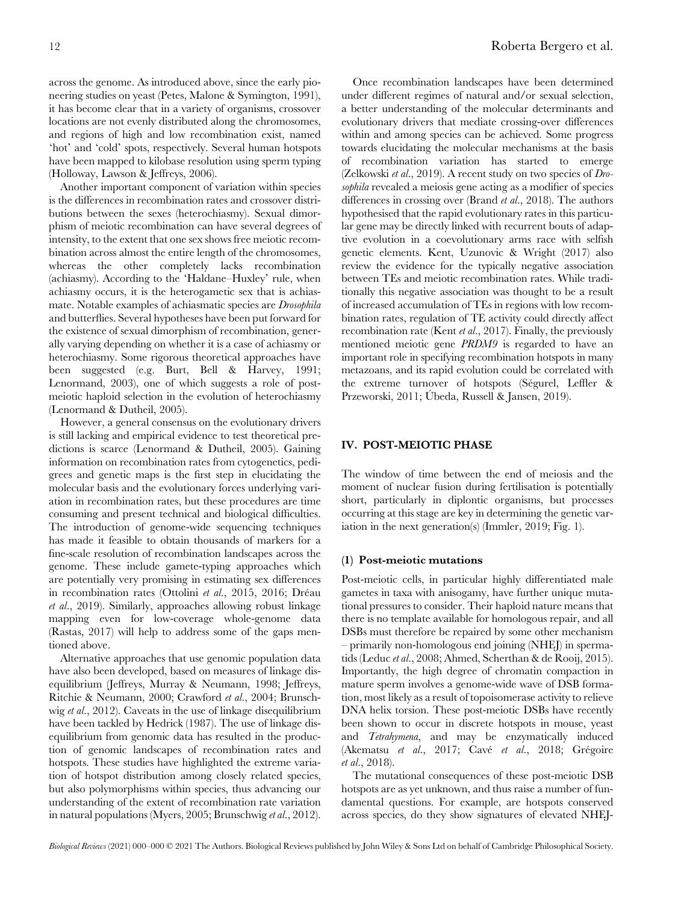across the genome. As introduced above, since the early pioneering studies on yeast (Petes, Malone & Symington, 1991), it has become clear that in a variety of organisms, crossover locations are not evenly distributed along the chromosomes, and regions of high and low recombination exist, named 'hot' and 'cold' spots, respectively. Several human hotspots have been mapped to kilobase resolution using sperm typing (Holloway, Lawson & Jeffreys, 2006).

Another important component of variation within species is the differences in recombination rates and crossover distributions between the sexes (heterochiasmy). Sexual dimorphism of meiotic recombination can have several degrees of intensity, to the extent that one sex shows free meiotic recombination across almost the entire length of the chromosomes, whereas the other completely lacks recombination (achiasmy). According to the 'Haldane–Huxley' rule, when achiasmy occurs, it is the heterogametic sex that is achiasmate. Notable examples of achiasmatic species are Drosophila and butterflies. Several hypotheses have been put forward for the existence of sexual dimorphism of recombination, generally varying depending on whether it is a case of achiasmy or heterochiasmy. Some rigorous theoretical approaches have been suggested (e.g. Burt, Bell & Harvey, 1991; Lenormand, 2003), one of which suggests a role of postmeiotic haploid selection in the evolution of heterochiasmy (Lenormand & Dutheil, 2005).

However, a general consensus on the evolutionary drivers is still lacking and empirical evidence to test theoretical predictions is scarce (Lenormand & Dutheil, 2005). Gaining information on recombination rates from cytogenetics, pedigrees and genetic maps is the first step in elucidating the molecular basis and the evolutionary forces underlying variation in recombination rates, but these procedures are time consuming and present technical and biological difficulties. The introduction of genome-wide sequencing techniques has made it feasible to obtain thousands of markers for a fine-scale resolution of recombination landscapes across the genome. These include gamete-typing approaches which are potentially very promising in estimating sex differences in recombination rates (Ottolini et al., 2015, 2016; Dréau et al., 2019). Similarly, approaches allowing robust linkage mapping even for low-coverage whole-genome data (Rastas, 2017) will help to address some of the gaps mentioned above.

Alternative approaches that use genomic population data have also been developed, based on measures of linkage disequilibrium (Jeffreys, Murray & Neumann, 1998; Jeffreys, Ritchie & Neumann, 2000; Crawford et al., 2004; Brunschwig et al., 2012). Caveats in the use of linkage disequilibrium have been tackled by Hedrick (1987). The use of linkage disequilibrium from genomic data has resulted in the production of genomic landscapes of recombination rates and hotspots. These studies have highlighted the extreme variation of hotspot distribution among closely related species, but also polymorphisms within species, thus advancing our understanding of the extent of recombination rate variation in natural populations (Myers, 2005; Brunschwig et al., 2012).

Once recombination landscapes have been determined under different regimes of natural and/or sexual selection, a better understanding of the molecular determinants and evolutionary drivers that mediate crossing-over differences within and among species can be achieved. Some progress towards elucidating the molecular mechanisms at the basis of recombination variation has started to emerge (Zelkowski et al., 2019). A recent study on two species of Drosophila revealed a meiosis gene acting as a modifier of species differences in crossing over (Brand *et al.*, 2018). The authors hypothesised that the rapid evolutionary rates in this particular gene may be directly linked with recurrent bouts of adaptive evolution in a coevolutionary arms race with selfish genetic elements. Kent, Uzunovic & Wright (2017) also review the evidence for the typically negative association between TEs and meiotic recombination rates. While traditionally this negative association was thought to be a result of increased accumulation of TEs in regions with low recombination rates, regulation of TE activity could directly affect recombination rate (Kent et al., 2017). Finally, the previously mentioned meiotic gene PRDM9 is regarded to have an important role in specifying recombination hotspots in many metazoans, and its rapid evolution could be correlated with the extreme turnover of hotspots (Ségurel, Leffler & Przeworski, 2011; Úbeda, Russell & Jansen, 2019).

#### IV. POST-MEIOTIC PHASE

The window of time between the end of meiosis and the moment of nuclear fusion during fertilisation is potentially short, particularly in diplontic organisms, but processes occurring at this stage are key in determining the genetic variation in the next generation(s) (Immler, 2019; Fig. 1).

#### (1) Post-meiotic mutations

Post-meiotic cells, in particular highly differentiated male gametes in taxa with anisogamy, have further unique mutational pressures to consider. Their haploid nature means that there is no template available for homologous repair, and all DSBs must therefore be repaired by some other mechanism – primarily non-homologous end joining (NHEJ) in spermatids (Leduc et al., 2008; Ahmed, Scherthan & de Rooij, 2015). Importantly, the high degree of chromatin compaction in mature sperm involves a genome-wide wave of DSB formation, most likely as a result of topoisomerase activity to relieve DNA helix torsion. These post-meiotic DSBs have recently been shown to occur in discrete hotspots in mouse, yeast and Tetrahymena, and may be enzymatically induced (Akematsu et al., 2017; Cavé et al., 2018; Grégoire et al., 2018).

The mutational consequences of these post-meiotic DSB hotspots are as yet unknown, and thus raise a number of fundamental questions. For example, are hotspots conserved across species, do they show signatures of elevated NHEJ-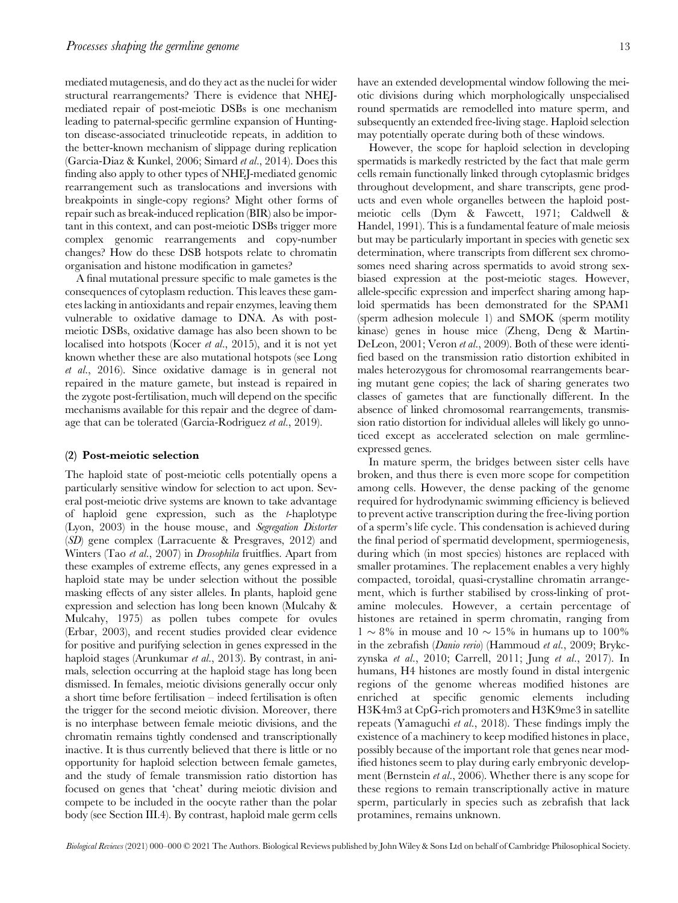mediated mutagenesis, and do they act as the nuclei for wider structural rearrangements? There is evidence that NHEJmediated repair of post-meiotic DSBs is one mechanism leading to paternal-specific germline expansion of Huntington disease-associated trinucleotide repeats, in addition to the better-known mechanism of slippage during replication (Garcia-Diaz & Kunkel, 2006; Simard et al., 2014). Does this finding also apply to other types of NHEJ-mediated genomic rearrangement such as translocations and inversions with breakpoints in single-copy regions? Might other forms of repair such as break-induced replication (BIR) also be important in this context, and can post-meiotic DSBs trigger more complex genomic rearrangements and copy-number changes? How do these DSB hotspots relate to chromatin organisation and histone modification in gametes?

A final mutational pressure specific to male gametes is the consequences of cytoplasm reduction. This leaves these gametes lacking in antioxidants and repair enzymes, leaving them vulnerable to oxidative damage to DNA. As with postmeiotic DSBs, oxidative damage has also been shown to be localised into hotspots (Kocer et al., 2015), and it is not yet known whether these are also mutational hotspots (see Long et al., 2016). Since oxidative damage is in general not repaired in the mature gamete, but instead is repaired in the zygote post-fertilisation, much will depend on the specific mechanisms available for this repair and the degree of damage that can be tolerated (Garcia-Rodriguez et al., 2019).

#### (2) Post-meiotic selection

The haploid state of post-meiotic cells potentially opens a particularly sensitive window for selection to act upon. Several post-meiotic drive systems are known to take advantage of haploid gene expression, such as the t-haplotype (Lyon, 2003) in the house mouse, and Segregation Distorter (SD) gene complex (Larracuente & Presgraves, 2012) and Winters (Tao et al., 2007) in *Drosophila* fruitflies. Apart from these examples of extreme effects, any genes expressed in a haploid state may be under selection without the possible masking effects of any sister alleles. In plants, haploid gene expression and selection has long been known (Mulcahy & Mulcahy, 1975) as pollen tubes compete for ovules (Erbar, 2003), and recent studies provided clear evidence for positive and purifying selection in genes expressed in the haploid stages (Arunkumar et al., 2013). By contrast, in animals, selection occurring at the haploid stage has long been dismissed. In females, meiotic divisions generally occur only a short time before fertilisation – indeed fertilisation is often the trigger for the second meiotic division. Moreover, there is no interphase between female meiotic divisions, and the chromatin remains tightly condensed and transcriptionally inactive. It is thus currently believed that there is little or no opportunity for haploid selection between female gametes, and the study of female transmission ratio distortion has focused on genes that 'cheat' during meiotic division and compete to be included in the oocyte rather than the polar body (see Section III.4). By contrast, haploid male germ cells

have an extended developmental window following the meiotic divisions during which morphologically unspecialised round spermatids are remodelled into mature sperm, and subsequently an extended free-living stage. Haploid selection may potentially operate during both of these windows.

However, the scope for haploid selection in developing spermatids is markedly restricted by the fact that male germ cells remain functionally linked through cytoplasmic bridges throughout development, and share transcripts, gene products and even whole organelles between the haploid postmeiotic cells (Dym & Fawcett, 1971; Caldwell & Handel, 1991). This is a fundamental feature of male meiosis but may be particularly important in species with genetic sex determination, where transcripts from different sex chromosomes need sharing across spermatids to avoid strong sexbiased expression at the post-meiotic stages. However, allele-specific expression and imperfect sharing among haploid spermatids has been demonstrated for the SPAM1 (sperm adhesion molecule 1) and SMOK (sperm motility kinase) genes in house mice (Zheng, Deng & Martin-DeLeon, 2001; Veron et al., 2009). Both of these were identified based on the transmission ratio distortion exhibited in males heterozygous for chromosomal rearrangements bearing mutant gene copies; the lack of sharing generates two classes of gametes that are functionally different. In the absence of linked chromosomal rearrangements, transmission ratio distortion for individual alleles will likely go unnoticed except as accelerated selection on male germlineexpressed genes.

In mature sperm, the bridges between sister cells have broken, and thus there is even more scope for competition among cells. However, the dense packing of the genome required for hydrodynamic swimming efficiency is believed to prevent active transcription during the free-living portion of a sperm's life cycle. This condensation is achieved during the final period of spermatid development, spermiogenesis, during which (in most species) histones are replaced with smaller protamines. The replacement enables a very highly compacted, toroidal, quasi-crystalline chromatin arrangement, which is further stabilised by cross-linking of protamine molecules. However, a certain percentage of histones are retained in sperm chromatin, ranging from  $1 \sim 8\%$  in mouse and  $10 \sim 15\%$  in humans up to 100% in the zebrafish (Danio rerio) (Hammoud et al., 2009; Brykczynska et al., 2010; Carrell, 2011; Jung et al., 2017). In humans, H4 histones are mostly found in distal intergenic regions of the genome whereas modified histones are enriched at specific genomic elements including H3K4m3 at CpG-rich promoters and H3K9me3 in satellite repeats (Yamaguchi et al., 2018). These findings imply the existence of a machinery to keep modified histones in place, possibly because of the important role that genes near modified histones seem to play during early embryonic development (Bernstein *et al.*, 2006). Whether there is any scope for these regions to remain transcriptionally active in mature sperm, particularly in species such as zebrafish that lack protamines, remains unknown.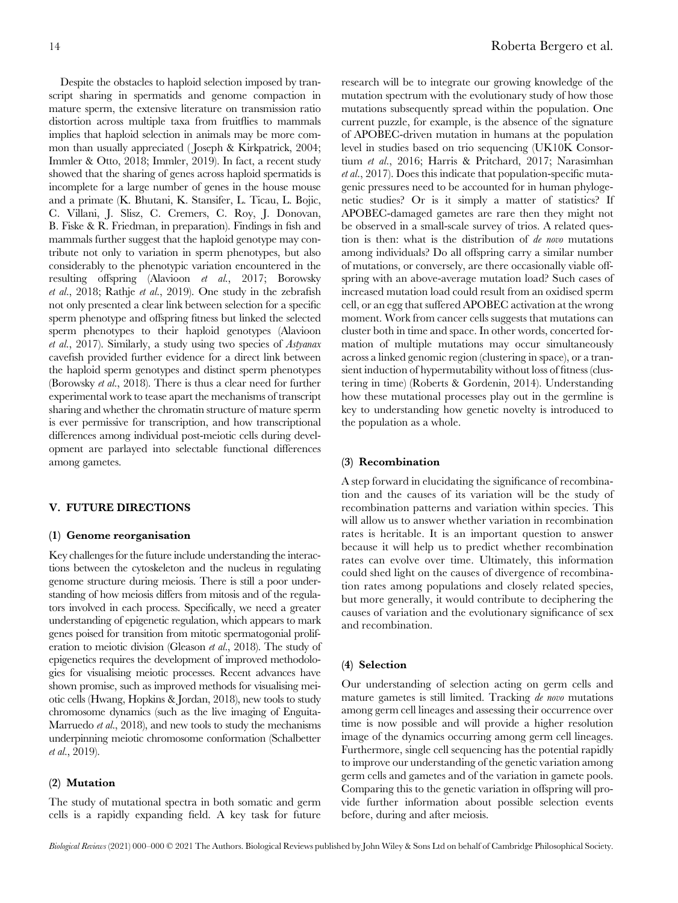Despite the obstacles to haploid selection imposed by transcript sharing in spermatids and genome compaction in mature sperm, the extensive literature on transmission ratio distortion across multiple taxa from fruitflies to mammals implies that haploid selection in animals may be more common than usually appreciated ( Joseph & Kirkpatrick, 2004; Immler & Otto, 2018; Immler, 2019). In fact, a recent study showed that the sharing of genes across haploid spermatids is incomplete for a large number of genes in the house mouse and a primate (K. Bhutani, K. Stansifer, L. Ticau, L. Bojic, C. Villani, J. Slisz, C. Cremers, C. Roy, J. Donovan, B. Fiske & R. Friedman, in preparation). Findings in fish and mammals further suggest that the haploid genotype may contribute not only to variation in sperm phenotypes, but also considerably to the phenotypic variation encountered in the resulting offspring (Alavioon et al., 2017; Borowsky et al., 2018; Rathje et al., 2019). One study in the zebrafish not only presented a clear link between selection for a specific sperm phenotype and offspring fitness but linked the selected sperm phenotypes to their haploid genotypes (Alavioon et al., 2017). Similarly, a study using two species of Astyanax cavefish provided further evidence for a direct link between the haploid sperm genotypes and distinct sperm phenotypes (Borowsky et al., 2018). There is thus a clear need for further experimental work to tease apart the mechanisms of transcript sharing and whether the chromatin structure of mature sperm is ever permissive for transcription, and how transcriptional differences among individual post-meiotic cells during development are parlayed into selectable functional differences among gametes.

#### V. FUTURE DIRECTIONS

#### (1) Genome reorganisation

Key challenges for the future include understanding the interactions between the cytoskeleton and the nucleus in regulating genome structure during meiosis. There is still a poor understanding of how meiosis differs from mitosis and of the regulators involved in each process. Specifically, we need a greater understanding of epigenetic regulation, which appears to mark genes poised for transition from mitotic spermatogonial proliferation to meiotic division (Gleason et al., 2018). The study of epigenetics requires the development of improved methodologies for visualising meiotic processes. Recent advances have shown promise, such as improved methods for visualising meiotic cells (Hwang, Hopkins & Jordan, 2018), new tools to study chromosome dynamics (such as the live imaging of Enguita-Marruedo *et al.*, 2018), and new tools to study the mechanisms underpinning meiotic chromosome conformation (Schalbetter et al., 2019).

#### (2) Mutation

The study of mutational spectra in both somatic and germ cells is a rapidly expanding field. A key task for future research will be to integrate our growing knowledge of the mutation spectrum with the evolutionary study of how those mutations subsequently spread within the population. One current puzzle, for example, is the absence of the signature of APOBEC-driven mutation in humans at the population level in studies based on trio sequencing (UK10K Consortium et al., 2016; Harris & Pritchard, 2017; Narasimhan et al., 2017). Does this indicate that population-specific mutagenic pressures need to be accounted for in human phylogenetic studies? Or is it simply a matter of statistics? If APOBEC-damaged gametes are rare then they might not be observed in a small-scale survey of trios. A related question is then: what is the distribution of de novo mutations among individuals? Do all offspring carry a similar number of mutations, or conversely, are there occasionally viable offspring with an above-average mutation load? Such cases of increased mutation load could result from an oxidised sperm cell, or an egg that suffered APOBEC activation at the wrong moment. Work from cancer cells suggests that mutations can cluster both in time and space. In other words, concerted formation of multiple mutations may occur simultaneously across a linked genomic region (clustering in space), or a transient induction of hypermutability without loss of fitness (clustering in time) (Roberts & Gordenin, 2014). Understanding how these mutational processes play out in the germline is key to understanding how genetic novelty is introduced to the population as a whole.

#### (3) Recombination

A step forward in elucidating the significance of recombination and the causes of its variation will be the study of recombination patterns and variation within species. This will allow us to answer whether variation in recombination rates is heritable. It is an important question to answer because it will help us to predict whether recombination rates can evolve over time. Ultimately, this information could shed light on the causes of divergence of recombination rates among populations and closely related species, but more generally, it would contribute to deciphering the causes of variation and the evolutionary significance of sex and recombination.

#### (4) Selection

Our understanding of selection acting on germ cells and mature gametes is still limited. Tracking de novo mutations among germ cell lineages and assessing their occurrence over time is now possible and will provide a higher resolution image of the dynamics occurring among germ cell lineages. Furthermore, single cell sequencing has the potential rapidly to improve our understanding of the genetic variation among germ cells and gametes and of the variation in gamete pools. Comparing this to the genetic variation in offspring will provide further information about possible selection events before, during and after meiosis.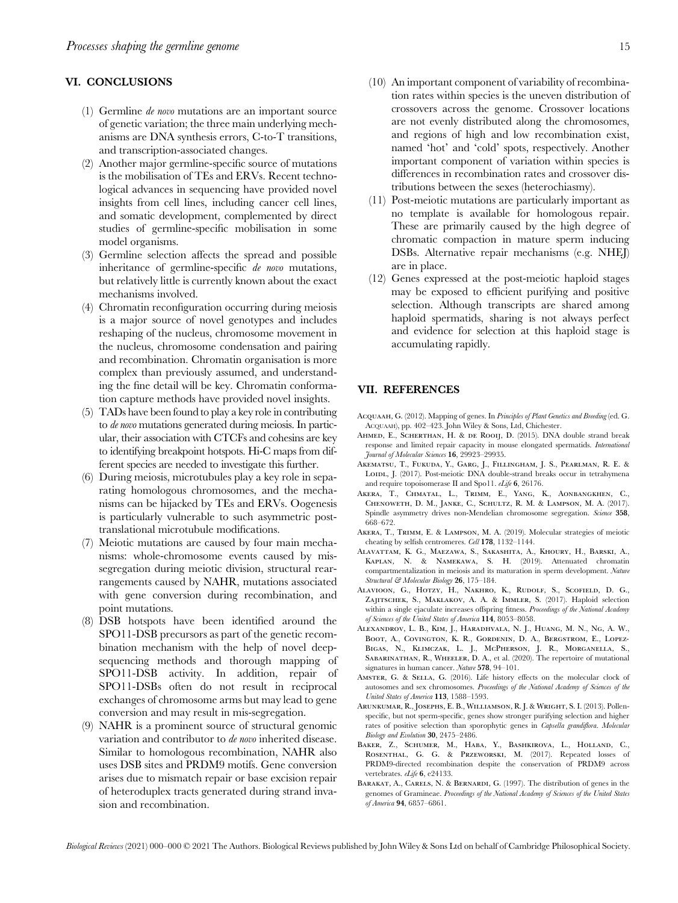#### VI. CONCLUSIONS

- (1) Germline de novo mutations are an important source of genetic variation; the three main underlying mechanisms are DNA synthesis errors, C-to-T transitions, and transcription-associated changes.
- (2) Another major germline-specific source of mutations is the mobilisation of TEs and ERVs. Recent technological advances in sequencing have provided novel insights from cell lines, including cancer cell lines, and somatic development, complemented by direct studies of germline-specific mobilisation in some model organisms.
- (3) Germline selection affects the spread and possible inheritance of germline-specific de novo mutations, but relatively little is currently known about the exact mechanisms involved.
- (4) Chromatin reconfiguration occurring during meiosis is a major source of novel genotypes and includes reshaping of the nucleus, chromosome movement in the nucleus, chromosome condensation and pairing and recombination. Chromatin organisation is more complex than previously assumed, and understanding the fine detail will be key. Chromatin conformation capture methods have provided novel insights.
- (5) TADs have been found to play a key role in contributing to de novo mutations generated during meiosis. In particular, their association with CTCFs and cohesins are key to identifying breakpoint hotspots. Hi-C maps from different species are needed to investigate this further.
- (6) During meiosis, microtubules play a key role in separating homologous chromosomes, and the mechanisms can be hijacked by TEs and ERVs. Oogenesis is particularly vulnerable to such asymmetric posttranslational microtubule modifications.
- (7) Meiotic mutations are caused by four main mechanisms: whole-chromosome events caused by missegregation during meiotic division, structural rearrangements caused by NAHR, mutations associated with gene conversion during recombination, and point mutations.
- (8) DSB hotspots have been identified around the SPO11-DSB precursors as part of the genetic recombination mechanism with the help of novel deepsequencing methods and thorough mapping of SPO11-DSB activity. In addition, repair of SPO11-DSBs often do not result in reciprocal exchanges of chromosome arms but may lead to gene conversion and may result in mis-segregation.
- (9) NAHR is a prominent source of structural genomic variation and contributor to de novo inherited disease. Similar to homologous recombination, NAHR also uses DSB sites and PRDM9 motifs. Gene conversion arises due to mismatch repair or base excision repair of heteroduplex tracts generated during strand invasion and recombination.
- (10) An important component of variability of recombination rates within species is the uneven distribution of crossovers across the genome. Crossover locations are not evenly distributed along the chromosomes, and regions of high and low recombination exist, named 'hot' and 'cold' spots, respectively. Another important component of variation within species is differences in recombination rates and crossover distributions between the sexes (heterochiasmy).
- (11) Post-meiotic mutations are particularly important as no template is available for homologous repair. These are primarily caused by the high degree of chromatic compaction in mature sperm inducing DSBs. Alternative repair mechanisms (e.g. NHEJ) are in place.
- (12) Genes expressed at the post-meiotic haploid stages may be exposed to efficient purifying and positive selection. Although transcripts are shared among haploid spermatids, sharing is not always perfect and evidence for selection at this haploid stage is accumulating rapidly.

#### VII. REFERENCES

- ACQUAAH, G. (2012). Mapping of genes. In Principles of Plant Genetics and Breeding (ed. G. ACQUAAH), pp. 402–423. John Wiley & Sons, Ltd, Chichester.
- AHMED, E., SCHERTHAN, H. & DE ROOIJ, D. (2015). DNA double strand break response and limited repair capacity in mouse elongated spermatids. International Journal of Molecular Sciences 16, 29923–29935.
- Akematsu, T., Fukuda, Y., Garg, J., Fillingham, J. S., Pearlman, R. E. & LOIDL, J. (2017). Post-meiotic DNA double-strand breaks occur in tetrahymena and require topoisomerase II and Spo11. eLife 6, 26176.
- Akera, T., Chmatal, L., Trimm, E., Yang, K., Aonbangkhen, C., Chenoweth, D. M., Janke, C., Schultz, R. M. & Lampson, M. A. (2017). Spindle asymmetry drives non-Mendelian chromosome segregation. Science 358, 668–672.
- Akera, T., Trimm, E. & Lampson, M. A. (2019). Molecular strategies of meiotic cheating by selfish centromeres. Cell 178, 1132–1144.
- Alavattam, K. G., Maezawa, S., Sakashita, A., Khoury, H., Barski, A., Kaplan, N. & Namekawa, S. H. (2019). Attenuated chromatin compartmentalization in meiosis and its maturation in sperm development. Nature Structural & Molecular Biology 26, 175-184.
- Alavioon, G., Hotzy, H., Nakhro, K., Rudolf, S., Scofield, D. G., Zajitschek, S., Maklakov, A. A. & Immler, S. (2017). Haploid selection within a single ejaculate increases offspring fitness. Proceedings of the National Academy of Sciences of the United States of America 114, 8053–8058.
- Alexandrov, L. B., Kim, J., Haradhvala, N. J., Huang, M. N., Ng, A. W., BOOT, A., COVINGTON, K. R., GORDENIN, D. A., BERGSTROM, E., LOPEZ-Bigas, N., Klimczak, L. J., McPherson, J. R., Morganella, S., Sabarinathan, R., Wheeler, D. A., et al. (2020). The repertoire of mutational signatures in human cancer. Nature 578, 94-101.
- Amster, G. & Sella, G. (2016). Life history effects on the molecular clock of autosomes and sex chromosomes. Proceedings of the National Academy of Sciences of the United States of America 113, 1588–1593.
- Arunkumar, R., Josephs, E. B., Williamson, R. J. & Wright, S. I. (2013). Pollenspecific, but not sperm-specific, genes show stronger purifying selection and higher rates of positive selection than sporophytic genes in Capsella grandiflora. Molecular Biology and Evolution 30, 2475–2486.
- BAKER, Z., SCHUMER, M., HABA, Y., BASHKIROVA, L., HOLLAND, C., Rosenthal, G. G. & Przeworski, M. (2017). Repeated losses of PRDM9-directed recombination despite the conservation of PRDM9 across vertebrates. eLife 6, e24133.
- BARAKAT, A., CARELS, N. & BERNARDI, G. (1997). The distribution of genes in the genomes of Gramineae. Proceedings of the National Academy of Sciences of the United States of America 94, 6857–6861.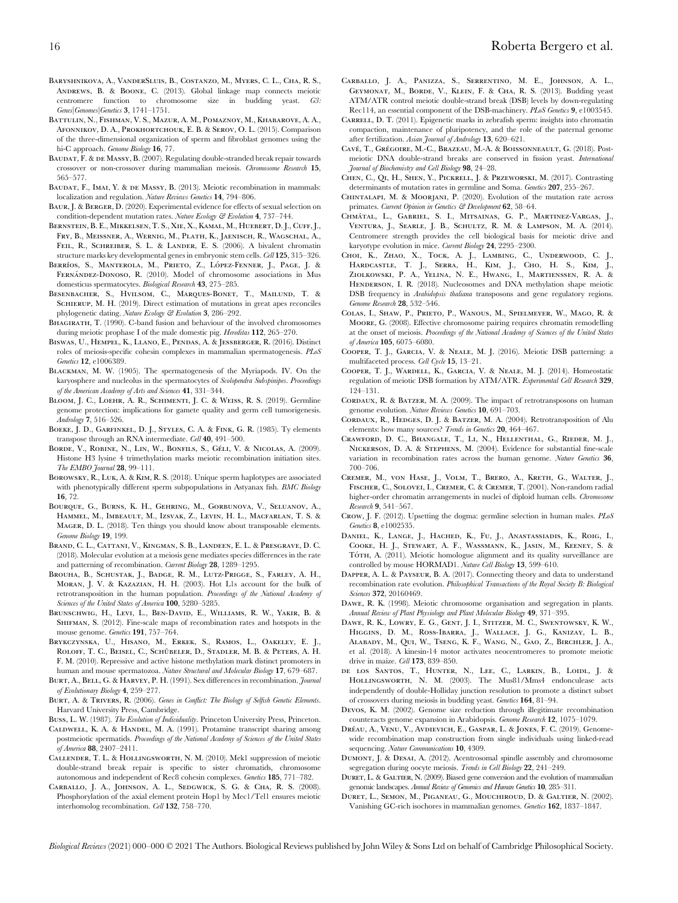- BARYSHNIKOVA, A., VANDERSLUIS, B., COSTANZO, M., MYERS, C. L., CHA, R. S., Andrews, B. & Boone, C. (2013). Global linkage map connects meiotic centromere function to chromosome size in budding yeast. G3: Genes|Genomes|Genetics 3, 1741–1751.
- Battulin, N., Fishman, V. S., Mazur, A. M., Pomaznoy, M., Khabarove, A. A., Afonnikov, D. A., Prokhortchouk, E. B. & Serov, O. L. (2015). Comparison of the three-dimensional organization of sperm and fibroblast genomes using the hi-C approach. Genome Biology 16, 77.
- BAUDAT, F. & DE MASSY, B. (2007). Regulating double-stranded break repair towards crossover or non-crossover during mammalian meiosis. Chromosome Research 15, 565–577.
- BAUDAT, F., IMAI, Y. & DE MASSY, B. (2013). Meiotic recombination in mammals: localization and regulation. Nature Reviews Genetics 14, 794-806.
- BAUR, J. & BERGER, D. (2020). Experimental evidence for effects of sexual selection on condition-dependent mutation rates. Nature Ecology & Evolution 4, 737-744.
- BERNSTEIN, B. E., MIKKELSEN, T. S., XIE, X., KAMAL, M., HUEBERT, D. J., CUFF, J., Fry, B., Meissner, A., Wernig, M., Plath, K., Jaenisch, R., Wagschal, A., FEIL, R., SCHREIBER, S. L. & LANDER, E. S. (2006). A bivalent chromatin structure marks key developmental genes in embryonic stem cells. Cell 125, 315–326.
- BERRÍOS, S., MANTEROLA, M., PRIETO, Z., LÓPEZ-FENNER, J., PAGE, J. & FERNÁNDEZ-DONOSO, R. (2010). Model of chromosome associations in Mus domesticus spermatocytes. Biological Research 43, 275–285.
- Besenbacher, S., Hvilsom, C., Marques-Bonet, T., Mailund, T. & SCHIERUP, M. H. (2019). Direct estimation of mutations in great apes reconciles phylogenetic dating. Nature Ecology & Evolution 3, 286–292.
- BHAGIRATH, T. (1990). C-band fusion and behaviour of the involved chromosomes during meiotic prophase I of the male domestic pig. Hereditas 112, 265–270.
- Biswas, U., Hempel, K., Llano, E., Pendas, A. & Jessberger, R. (2016). Distinct roles of meiosis-specific cohesin complexes in mammalian spermatogenesis. PLoS Genetics 12, e1006389.
- Blackman, M. W. (1905). The spermatogenesis of the Myriapods. IV. On the karyosphere and nucleolus in the spermatocytes of Scolopendra Subspinipes. Proceedings of the American Academy of Arts and Sciences 41, 331–344.
- Bloom, J. C., Loehr, A. R., Schimenti, J. C. & Weiss, R. S. (2019). Germline genome protection: implications for gamete quality and germ cell tumorigenesis. Andrology 7, 516–526.
- BOEKE, J. D., GARFINKEL, D. J., STYLES, C. A. & FINK, G. R. (1985). Ty elements transpose through an RNA intermediate. Cell 40, 491–500.
- BORDE, V., ROBINE, N., LIN, W., BONFILS, S., GÉLI, V. & NICOLAS, A. (2009). Histone H3 lysine 4 trimethylation marks meiotic recombination initiation sites. The EMBO Journal 28, 99-111.
- Borowsky, R., Luk, A. & Kim, R. S. (2018). Unique sperm haplotypes are associated with phenotypically different sperm subpopulations in Astyanax fish. BMC Biology 16, 72.
- BOURQUE, G., BURNS, K. H., GEHRING, M., GORBUNOVA, V., SELUANOV, A. Hammel, M., Imbeault, M., Izsvak, Z., Levin, H. L., Macfarlan, T. S. & Mager, D. L. (2018). Ten things you should know about transposable elements. Genome Biology 19, 199.
- Brand, C. L., Cattani, V., Kingman, S. B., Landeen, E. L. & Presgrave, D. C. (2018). Molecular evolution at a meiosis gene mediates species differences in the rate and patterning of recombination. Current Biology 28, 1289–1295.
- Brouha, B., Schustak, J., Badge, R. M., Lutz-Prigge, S., Farley, A. H., Moran, J. V. & Kazazian, H. H. (2003). Hot L1s account for the bulk of retrotransposition in the human population. Proceedings of the National Academy of Sciences of the United States of America 100, 5280-5285.
- Brunschwig, H., Levi, L., Ben-David, E., Williams, R. W., Yakir, B. & SHIFMAN, S. (2012). Fine-scale maps of recombination rates and hotspots in the mouse genome. Genetics 191, 757-764.
- Brykczynska, U., Hisano, M., Erkek, S., Ramos, L., Oakeley, E. J., ROLOFF, T. C., BEISEL, C., SCHÜBELER, D., STADLER, M. B. & PETERS, A. H. F. M. (2010). Repressive and active histone methylation mark distinct promoters in human and mouse spermatozoa. Nature Structural and Molecular Biology 17, 679–687.
- BURT, A., BELL, G. & HARVEY, P. H. (1991). Sex differences in recombination. Journal of Evolutionary Biology 4, 259–277.
- Burt, A. & Trivers, R. (2006). Genes in Conflict: The Biology of Selfish Genetic Elements. Harvard University Press, Cambridge.
- Buss, L. W. (1987). The Evolution of Individuality. Princeton University Press, Princeton.
- Caldwell, K. A. & Handel, M. A. (1991). Protamine transcript sharing among postmeiotic spermatids. Proceedings of the National Academy of Sciences of the United States of America 88, 2407–2411.
- Callender, T. L. & Hollingsworth, N. M. (2010). Mek1 suppression of meiotic double-strand break repair is specific to sister chromatids, chromosome autonomous and independent of Rec8 cohesin complexes. Genetics 185, 771–782.
- Carballo, J. A., Johnson, A. L., Sedgwick, S. G. & Cha, R. S. (2008). Phosphorylation of the axial element protein Hop1 by Mec1/Tel1 ensures meiotic interhomolog recombination. Cell 132, 758–770.
- Carballo, J. A., Panizza, S., Serrentino, M. E., Johnson, A. L., Geymonat, M., Borde, V., Klein, F. & Cha, R. S. (2013). Budding yeast ATM/ATR control meiotic double-strand break (DSB) levels by down-regulating Rec114, an essential component of the DSB-machinery. PLoS Genetics 9, e1003545.
- Carrell, D. T. (2011). Epigenetic marks in zebrafish sperm: insights into chromatin compaction, maintenance of pluripotency, and the role of the paternal genome after fertilization. Asian Journal of Andrology 13, 620–621.
- CAVÉ, T., GRÉGOIRE, M.-C., BRAZEAU, M.-A. & BOISSONNEAULT, G. (2018). Postmeiotic DNA double-strand breaks are conserved in fission yeast. International Journal of Biochemistry and Cell Biology 98, 24–28.
- Chen, C., Qi, H., Shen, Y., Pickrell, J. & Przeworski, M. (2017). Contrasting determinants of mutation rates in germline and Soma. Genetics 207, 255–267.
- Chintalapi, M. & Moorjani, P. (2020). Evolution of the mutation rate across primates. Current Opinion in Genetics & Development 62, 58-64.
- Chma´tal, L., Gabriel, S. I., Mitsainas, G. P., Martinez-Vargas, J., Ventura, J., Searle, J. B., Schultz, R. M. & Lampson, M. A. (2014). Centromere strength provides the cell biological basis for meiotic drive and karyotype evolution in mice. Current Biology 24, 2295–2300.
- Choi, K., Zhao, X., Tock, A. J., Lambing, C., Underwood, C. J., Hardcastle, T. J., Serra, H., Kim, J., Cho, H. S., Kim, J., Ziolkowski, P. A., Yelina, N. E., Hwang, I., Martienssen, R. A. & Henderson, I. R. (2018). Nucleosomes and DNA methylation shape meiotic DSB frequency in Arabidopsis thaliana transposons and gene regulatory regions. Genome Research 28, 532–546.
- Colas, I., Shaw, P., Prieto, P., Wanous, M., Spielmeyer, W., Mago, R. & Moore, G. (2008). Effective chromosome pairing requires chromatin remodelling at the onset of meiosis. Proceedings of the National Academy of Sciences of the United States of America 105, 6075–6080.
- Cooper, T. J., Garcia, V. & Neale, M. J. (2016). Meiotic DSB patterning: a multifaceted process. Cell Cycle 15, 13–21.
- Cooper, T. J., Wardell, K., Garcia, V. & Neale, M. J. (2014). Homeostatic regulation of meiotic DSB formation by ATM/ATR. Experimental Cell Research 329, 124–131.
- CORDAUX, R. & BATZER, M. A. (2009). The impact of retrotransposons on human genome evolution. Nature Reviews Genetics 10, 691–703.
- CORDAUX, R., HEDGES, D. J. & BATZER, M. A. (2004). Retrotransposition of Alu elements: how many sources? Trends in Genetics 20, 464-467.
- Crawford, D. C., Bhangale, T., Li, N., Hellenthal, G., Rieder, M. J., Nickerson, D. A. & Stephens, M. (2004). Evidence for substantial fine-scale variation in recombination rates across the human genome. Nature Genetics 36, 700–706.
- Cremer, M., von Hase, J., Volm, T., Brero, A., Kreth, G., Walter, J., Fischer, C., Solovei, I., Cremer, C. & Cremer, T. (2001). Non-random radial higher-order chromatin arrangements in nuclei of diploid human cells. Chromosome Research 9, 541–567.
- Crow, J. F. (2012). Upsetting the dogma: germline selection in human males. PLoS Genetics 8, e1002535.
- DANIEL, K., LANGE, J., HACHED, K., FU, J., ANASTASSIADIS, K., ROIG, I., Cooke, H. J., Stewart, A. F., Wassmann, K., Jasin, M., Keeney, S. & TÓTH, A. (2011). Meiotic homologue alignment and its quality surveillance are controlled by mouse HORMAD1. Nature Cell Biology 13, 599–610.
- Dapper, A. L. & Payseur, B. A. (2017). Connecting theory and data to understand recombination rate evolution. Philosophical Transactions of the Royal Society B: Biological Sciences **372**, 20160469.
- Dawe, R. K. (1998). Meiotic chromosome organisation and segregation in plants. Annual Review of Plant Physiology and Plant Molecular Biology 49, 371–395.
- Dawe, R. K., Lowry, E. G., Gent, J. I., Stitzer, M. C., Swentowsky, K. W., Higgins, D. M., Ross-Ibarra, J., Wallace, J. G., Kanizay, L. B., Alabady, M., Qui, W., Tseng, K. F., Wang, N., Gao, Z., Birchler, J. A., et al. (2018). A kinesin-14 motor activates neocentromeres to promote meiotic drive in maize. Cell 173, 839–850.
- de los Santos, T., Hunter, N., Lee, C., Larkin, B., Loidl, J. & Hollingsworth, N. M. (2003). The Mus81/Mms4 endonculease acts independently of double-Holliday junction resolution to promote a distinct subset of crossovers during meiosis in budding yeast. Genetics 164, 81–94.
- Devos, K. M. (2002). Genome size reduction through illegitimate recombination counteracts genome expansion in Arabidopsis. Genome Research 12, 1075–1079.
- DRÉAU, A., VENU, V., AVDIEVICH, E., GASPAR, L. & JONES, F. C. (2019). Genomewide recombination map construction from single individuals using linked-read sequencing. Nature Communications 10, 4309.
- DUMONT, J. & DESAI, A. (2012). Acentrosomal spindle assembly and chromosome segregation during oocyte meiosis. Trends in Cell Biology 22, 241-249.
- Duret, L. & Galtier, N. (2009). Biased gene conversion and the evolution of mammalian genomic landscapes. Annual Review of Genomics and Human Genetics 10, 285–311.
- Duret, L., Semon, M., Piganeau, G., Mouchiroud, D. & Galtier, N. (2002). Vanishing GC-rich isochores in mammalian genomes. Genetics 162, 1837–1847.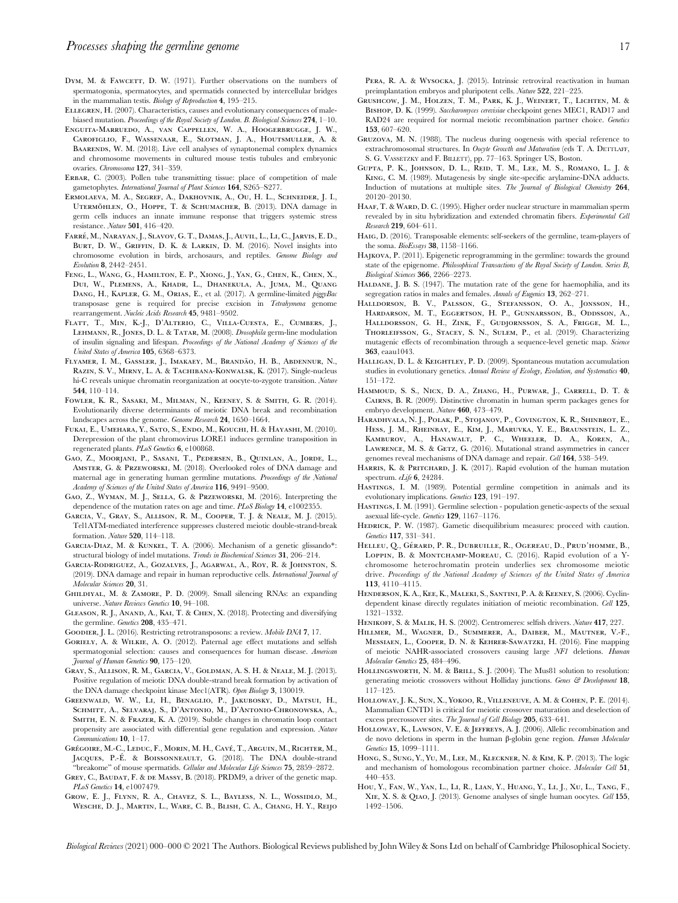- DYM, M. & FAWCETT, D. W. (1971). Further observations on the numbers of spermatogonia, spermatocytes, and spermatids connected by intercellular bridges in the mammalian testis. Biology of Reproduction 4, 195–215.
- Ellegren, H. (2007). Characteristics, causes and evolutionary consequences of malebiased mutation. Proceedings of the Royal Society of London. B. Biological Sciences 274, 1-10.
- Enguita-Marruedo, A., van Cappellen, W. A., Hoogerbrugge, J. W., Carofiglio, F., Wassenaar, E., Slotman, J. A., Houtsmuller, A. & BAARENDS, W. M. (2018). Live cell analyses of synaptonemal complex dynamics and chromosome movements in cultured mouse testis tubules and embryonic ovaries. Chromosoma 127, 341–359.
- ERBAR, C. (2003). Pollen tube transmitting tissue: place of competition of male gametophytes. International Journal of Plant Sciences 164, S265–S277.
- Ermolaeva, M. A., Segref, A., Dakhovnik, A., Ou, H. L., Schneider, J. I., UTERMÖHLEN, O., HOPPE, T. & SCHUMACHER, B. (2013). DNA damage in germ cells induces an innate immune response that triggers systemic stress resistance. Nature 501, 416–420.
- Farre´, M., Narayan, J., Slavov, G. T., Damas, J., Auvil, L., Li, C., Jarvis, E. D., BURT, D. W., GRIFFIN, D. K. & LARKIN, D. M. (2016). Novel insights into chromosome evolution in birds, archosaurs, and reptiles. Genome Biology and Evolution 8, 2442–2451.
- Feng, L., Wang, G., Hamilton, E. P., Xiong, J., Yan, G., Chen, K., Chen, X., Dui, W., Plemens, A., Khadr, L., Dhanekula, A., Juma, M., Quang DANG, H., KAPLER, G. M., ORIAS, E., et al. (2017). A germline-limited piggyBac transposase gene is required for precise excision in Tetrahymena genome rearrangement. Nucleic Acids Research 45, 9481–9502.
- Flatt, T., Min, K.-J., D'Alterio, C., Villa-Cuesta, E., Cumbers, J., Lehmann, R., Jones, D. L. & Tatar, M. (2008). Drosophila germ-line modulation of insulin signaling and lifespan. Proceedings of the National Academy of Sciences of the United States of America 105, 6368–6373.
- FLYAMER, I. M., GASSLER, J., IMAKAEY, M., BRANDÃO, H. B., ABDENNUR, N., Razin, S. V., Mirny, L. A. & Tachibana-Konwalsk, K. (2017). Single-nucleus hi-C reveals unique chromatin reorganization at oocyte-to-zygote transition. Nature 544, 110–114.
- Fowler, K. R., Sasaki, M., Milman, N., Keeney, S. & Smith, G. R. (2014). Evolutionarily diverse determinants of meiotic DNA break and recombination landscapes across the genome. Genome Research 24, 1650–1664.
- Fukai, E., Umehara, Y., Sato, S., Endo, M., Kouchi, H. & Hayashi, M. (2010). Derepression of the plant chromovirus LORE1 induces germline transposition in regenerated plants. PLoS Genetics 6, e100868.
- Gao, Z., Moorjani, P., Sasani, T., Pedersen, B., Quinlan, A., Jorde, L., Amster, G. & Przeworski, M. (2018). Overlooked roles of DNA damage and maternal age in generating human germline mutations. Proceedings of the National Academy of Sciences of the United States of America 116, 9491–9500.
- Gao, Z., Wyman, M. J., Sella, G. & Przeworski, M. (2016). Interpreting the dependence of the mutation rates on age and time. PLoS Biology 14, e1002355.
- Garcia, V., Gray, S., Allison, R. M., Cooper, T. J. & Neale, M. J. (2015). Tel1ATM-mediated interference suppresses clustered meiotic double-strand-break formation. Nature 520, 114–118.
- Garcia-Diaz, M. & Kunkel, T. A. (2006). Mechanism of a genetic glissando\*: structural biology of indel mutations. Trends in Biochemical Sciences 31, 206–214.
- Garcia-Rodriguez, A., Gozalves, J., Agarwal, A., Roy, R. & Johnston, S. (2019). DNA damage and repair in human reproductive cells. International Journal of Molecular Sciences 20, 31.
- Ghildiyal, M. & Zamore, P. D. (2009). Small silencing RNAs: an expanding universe. Nature Reviews Genetics 10, 94–108.
- Gleason, R. J., Anand, A., Kai, T. & Chen, X. (2018). Protecting and diversifying the germline. Genetics 208, 435-471.
- Goodier, J. L. (2016). Restricting retrotransposons: a review. Mobile DNA 7, 17.
- Goriely, A. & Wilkie, A. O. (2012). Paternal age effect mutations and selfish spermatogonial selection: causes and consequences for human disease. American Journal of Human Genetics 90, 175–120.
- Gray, S., Allison, R. M., Garcia, V., Goldman, A. S. H. & Neale, M. J. (2013). Positive regulation of meiotic DNA double-strand break formation by activation of the DNA damage checkpoint kinase Mec1(ATR). Open Biology 3, 130019.
- Greenwald, W. W., Li, H., Benaglio, P., Jakubosky, D., Matsui, H., Schmitt, A., Selvaraj, S., D'Antonio, M., D'Antonio-Chronowska, A., Smith, E. N. & Frazer, K. A. (2019). Subtle changes in chromatin loop contact propensity are associated with differential gene regulation and expression. Nature Communications 10, 1–17.
- GRÉGOIRE, M.-C., LEDUC, F., MORIN, M. H., CAVÉ, T., ARGUIN, M., RICHTER, M., JACQUES, P.-É. & BOISSONNEAULT, G. (2018). The DNA double-strand "breakome" of mouse spermatids. Cellular and Molecular Life Sciences 75, 2859–2872.
- Grey, C., Baudat, F. & de Massy, B. (2018). PRDM9, a driver of the genetic map. PLoS Genetics 14, e1007479.
- Grow, E. J., Flynn, R. A., Chavez, S. L., Bayless, N. L., Wossidlo, M., Wesche, D. J., Martin, L., Ware, C. B., Blish, C. A., Chang, H. Y., Reijo

PERA, R. A. & WYSOCKA, J. (2015). Intrinsic retroviral reactivation in human preimplantation embryos and pluripotent cells. Nature 522, 221–225.

- Grushcow, J. M., Holzen, T. M., Park, K. J., Weinert, T., Lichten, M. & BISHOP, D. K. (1999). Saccharomyces cerevisiae checkpoint genes MEC1, RAD17 and RAD24 are required for normal meiotic recombination partner choice. Genetics 153, 607–620.
- Gruzova, M. N. (1988). The nucleus during oogenesis with special reference to extrachromosomal structures. In Oocyte Growth and Maturation (eds T. A. DETTLAFF, S. G. VASSETZKY and F. BILLETT), pp. 77–163. Springer US, Boston.
- Gupta, P. K., Johnson, D. L., Reid, T. M., Lee, M. S., Romano, L. J. & King, C. M. (1989). Mutagenesis by single site-specific arylamine-DNA adducts. Induction of mutations at multiple sites. The Journal of Biological Chemistry 264, 20120–20130.
- HAAF, T. & WARD, D. C. (1995). Higher order nuclear structure in mammalian sperm revealed by in situ hybridization and extended chromatin fibers. Experimental Cell Research 219, 604-611.
- Haig, D. (2016). Transposable elements: self-seekers of the germline, team-players of the soma. BioEssays 38, 1158-1166.
- Hajkova, P. (2011). Epigenetic reprogramming in the germline: towards the ground state of the epigenome. Philosophical Transactions of the Royal Society of London. Series B, Biological Sciences 366, 2266–2273.
- HALDANE, J. B. S. (1947). The mutation rate of the gene for haemophilia, and its segregation ratios in males and females. Annals of Eugenics 13, 262-271.
- Halldorson, B. V., Palsson, G., Stefansson, O. A., Jonsson, H., Hardarson, M. T., Eggertson, H. P., Gunnarsson, B., Oddsson, A., Halldorsson, G. H., Zink, F., Gudjornsson, S. A., Frigge, M. L., Thorleifsson, G., Stacey, S. N., Sulem, P., et al. (2019). Characterizing mutagenic effects of recombination through a sequence-level genetic map. Science 363, eaau1043.
- HALLIGAN, D. L. & KEIGHTLEY, P. D. (2009). Spontaneous mutation accumulation studies in evolutionary genetics. Annual Review of Ecology, Evolution, and Systematics 40, 151–172.
- Hammoud, S. S., Nicx, D. A., Zhang, H., Purwar, J., Carrell, D. T. & Cairns, B. R. (2009). Distinctive chromatin in human sperm packages genes for embryo development. Nature 460, 473–479.
- Haradhvala, N. J., Polak, P., Stojanov, P., Covington, K. R., Shinbrot, E., Hess, J. M., Rheinbay, E., Kim, J., Maruvka, Y. E., Braunstein, L. Z., Kamburov, A., Hanawalt, P. C., Wheeler, D. A., Koren, A., LAWRENCE, M. S. & GETZ, G. (2016). Mutational strand asymmetries in cancer genomes reveal mechanisms of DNA damage and repair. Cell 164, 538-549.
- HARRIS, K. & PRITCHARD, J. K. (2017). Rapid evolution of the human mutation spectrum. eLife 6, 24284.
- Hastings, I. M. (1989). Potential germline competition in animals and its evolutionary implications. Genetics 123, 191–197.
- Hastings, I. M. (1991). Germline selection population genetic-aspects of the sexual asexual life-cycle. Genetics 129, 1167–1176.
- HEDRICK, P. W. (1987). Gametic disequilibrium measures: proceed with caution. Genetics 117, 331–341.
- HELLEU, Q., GÉRARD, P. R., DUBRUILLE, R., OGEREAU, D., PRUD'HOMME, B., LOPPIN, B. & MONTCHAMP-MOREAU, C. (2016). Rapid evolution of a Ychromosome heterochromatin protein underlies sex chromosome meiotic drive. Proceedings of the National Academy of Sciences of the United States of America 113, 4110–4115.
- Henderson, K. A., Kee, K., Maleki, S., Santini, P. A. & Keeney, S. (2006). Cyclindependent kinase directly regulates initiation of meiotic recombination. Cell 125, 1321–1332.
- HENIKOFF, S. & MALIK, H. S. (2002). Centromeres: selfish drivers. Nature 417, 227.
- Hillmer, M., Wagner, D., Summerer, A., Daiber, M., Mautner, V.-F., Messiaen, L., Cooper, D. N. & Kehrer-Sawatzki, H. (2016). Fine mapping of meiotic NAHR-associated crossovers causing large NF1 deletions. Human Molecular Genetics 25, 484–496.
- HOLLINGSWORTH, N. M. & BRILL, S. J. (2004). The Mus81 solution to resolution: generating meiotic crossovers without Holliday junctions. Genes  $\mathcal{C}$  Development 18, 117–125.
- Holloway, J. K., Sun, X., Yokoo, R., Villeneuve, A. M. & Cohen, P. E. (2014). Mammalian CNTD1 is critical for meiotic crossover maturation and deselection of excess precrossover sites. The Journal of Cell Biology 205, 633-641.
- Holloway, K., Lawson, V. E. & Jeffreys, A. J. (2006). Allelic recombination and de novo deletions in sperm in the human β-globin gene region. Human Molecular Genetics 15, 1099–1111.
- Hong, S., Sung, Y., Yu, M., Lee, M., Kleckner, N. & Kim, K. P. (2013). The logic and mechanism of homologous recombination partner choice. Molecular Cell 51, 440–453.
- Hou, Y., Fan, W., Yan, L., Li, R., Lian, Y., Huang, Y., Li, J., Xu, L., Tang, F., Xie, X. S. & Qiao, J. (2013). Genome analyses of single human oocytes. Cell 155, 1492–1506.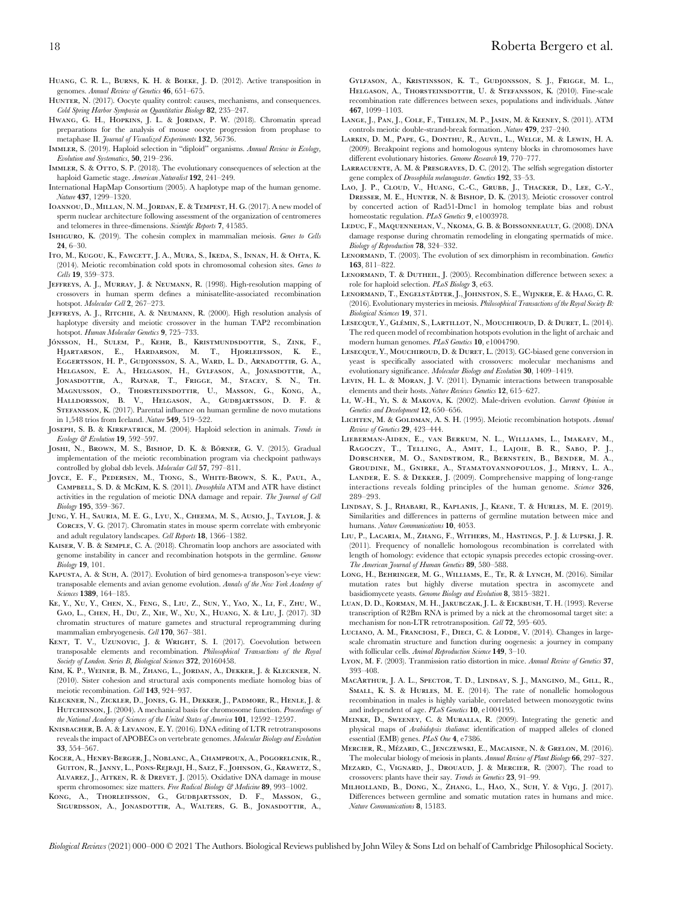Huang, C. R. L., Burns, K. H. & Boeke, J. D. (2012). Active transposition in genomes. Annual Review of Genetics 46, 651–675.

- HUNTER, N. (2017). Oocyte quality control: causes, mechanisms, and consequences. Cold Spring Harbor Symposia on Quantitative Biology 82, 235–247.
- HWANG, G. H., HOPKINS, J. L. & JORDAN, P. W. (2018). Chromatin spread preparations for the analysis of mouse oocyte progression from prophase to metaphase II. *Journal of Visualized Experiments* 132, 56736.
- IMMLER, S. (2019). Haploid selection in "diploid" organisms. Annual Review in Ecology, Evolution and Systematics, 50, 219–236.
- IMMLER, S. & OTTO, S. P. (2018). The evolutionary consequences of selection at the haploid Gametic stage. American Naturalist 192, 241–249.
- International HapMap Consortium (2005). A haplotype map of the human genome. Nature 437, 1299–1320.
- Ioannou, D., Millan, N. M., Jordan, E. & Tempest, H. G. (2017). A new model of sperm nuclear architecture following assessment of the organization of centromeres and telomeres in three-dimensions. Scientific Reports 7, 41585.
- ISHIGURO, K. (2019). The cohesin complex in mammalian meiosis. Genes to Cells 24, 6–30.
- Ito, M., Kugou, K., Fawcett, J. A., Mura, S., Ikeda, S., Innan, H. & Ohta, K. (2014). Meiotic recombination cold spots in chromosomal cohesion sites. Genes to Cells 19, 359–373.
- Jeffreys, A. J., Murray, J. & Neumann, R. (1998). High-resolution mapping of crossovers in human sperm defines a minisatellite-associated recombination hotspot. Molecular Cell 2, 267–273.
- JEFFREYS, A. J., RITCHIE, A. & NEUMANN, R. (2000). High resolution analysis of haplotype diversity and meiotic crossover in the human TAP2 recombination hotspot. Human Molecular Genetics 9, 725-733.
- JÓNSSON, H., SULEM, P., KEHR, B., KRISTMUNDSDOTTIR, S., ZINK, F., Hjartarson, E., Hardarson, M. T., Hjorleifsson, K. E., Eggertsson, H. P., Gudjonsson, S. A., Ward, L. D., Arnadottir, G. A., Helgason, E. A., Helgason, H., Gylfason, A., Jonasdottir, A., JONASDOTTIR, A., RAFNAR, T., FRIGGE, M., STACEY, S. N., TH. Magnusson, O., Thorsteinsdottir, U., Masson, G., Kong, A., Halldorsson, B. V., Helgason, A., Gudbjartsson, D. F. & STEFANSSON, K. (2017). Parental influence on human germline de novo mutations in 1,548 trios from Iceland. Nature 549, 519–522.
- JOSEPH, S. B. & KIRKPATRICK, M. (2004). Haploid selection in animals. Trends in Ecology & Evolution 19, 592–597.
- JOSHI, N., BROWN, M. S., BISHOP, D. K. & BÖRNER, G. V. (2015). Gradual implementation of the meiotic recombination program via checkpoint pathways controlled by global dsb levels. Molecular Cell 57, 797–811.
- Joyce, E. F., Pedersen, M., Tiong, S., White-Brown, S. K., Paul, A., Campbell, S. D. & McKim, K. S. (2011). Drosophila ATM and ATR have distinct activities in the regulation of meiotic DNA damage and repair. The Journal of Cell Biology 195, 359–367.
- Jung, Y. H., Sauria, M. E. G., Lyu, X., Cheema, M. S., Ausio, J., Taylor, J. & Corces, V. G. (2017). Chromatin states in mouse sperm correlate with embryonic and adult regulatory landscapes. Cell Reports 18, 1366–1382.
- Kaiser, V. B. & Semple, C. A. (2018). Chromatin loop anchors are associated with genome instability in cancer and recombination hotspots in the germline. Genome Biology 19, 101.
- Kapusta, A. & Suh, A. (2017). Evolution of bird genomes-a transposon's-eye view: transposable elements and avian genome evolution. Annals of the New York Academy of Sciences **1389**, 164–185.
- Ke, Y., Xu, Y., Chen, X., Feng, S., Liu, Z., Sun, Y., Yao, X., Li, F., Zhu, W., Gao, L., Chen, H., Du, Z., Xie, W., Xu, X., Huang, X. & Liu, J. (2017). 3D chromatin structures of mature gametes and structural reprogramming during mammalian embryogenesis. Cell 170, 367–381.
- KENT, T. V., UZUNOVIC, J. & WRIGHT, S. I. (2017). Coevolution between transposable elements and recombination. Philosophical Transactions of the Royal Society of London. Series B, Biological Sciences 372, 20160458.
- Kim, K. P., Weiner, B. M., Zhang, L., Jordan, A., Dekker, J. & Kleckner, N. (2010). Sister cohesion and structural axis components mediate homolog bias of meiotic recombination. Cell 143, 924–937.
- Kleckner, N., Zickler, D., Jones, G. H., Dekker, J., Padmore, R., Henle, J. & HUTCHINSON, J. (2004). A mechanical basis for chromosome function. Proceedings of the National Academy of Sciences of the United States of America 101, 12592-12597.
- Knisbacher, B. A. & Levanon, E. Y. (2016). DNA editing of LTR retrotransposons reveals the impact of APOBECs on vertebrate genomes. Molecular Biology and Evolution 33, 554–567.
- Kocer, A., Henry-Berger, J., Noblanc, A., Champroux, A., Pogorelcnik, R., Guiton, R., Janny, L., Pons-Rejraji, H., Saez, F., Johnson, G., Krawetz, S., Alvarez, J., Aitken, R. & Drevet, J. (2015). Oxidative DNA damage in mouse sperm chromosomes: size matters. Free Radical Biology & Medicine 89, 993-1002.
- Kong, A., Thorleifsson, G., Gudbjartsson, D. F., Masson, G., Sigurdsson, A., Jonasdottir, A., Walters, G. B., Jonasdottir, A.,

Gylfason, A., Kristinsson, K. T., Gudjonsson, S. J., Frigge, M. L., HELGASON, A., THORSTEINSDOTTIR, U. & STEFANSSON, K. (2010). Fine-scale recombination rate differences between sexes, populations and individuals. Nature 467, 1099–1103.

- Lange, J., Pan, J., Cole, F., Thelen, M. P., Jasin, M. & Keeney, S. (2011). ATM controls meiotic double-strand-break formation. Nature 479, 237–240.
- Larkin, D. M., Pape, G., Donthu, R., Auvil, L., Welge, M. & Lewin, H. A. (2009). Breakpoint regions and homologous synteny blocks in chromosomes have different evolutionary histories. Genome Research 19, 770–777.
- Larracuente, A. M. & Presgraves, D. C. (2012). The selfish segregation distorter gene complex of Drosophila melanogaster. Genetics 192, 33–53.
- LAO, J. P., CLOUD, V., HUANG, C.-C., GRUBB, J., THACKER, D., LEE, C.-Y., Dresser, M. E., Hunter, N. & Bishop, D. K. (2013). Meiotic crossover control by concerted action of Rad51-Dmc1 in homolog template bias and robust homeostatic regulation. PLoS Genetics 9, e1003978.
- Leduc, F., Maquennehan, V., Nkoma, G. B. & Boissonneault, G. (2008). DNA damage response during chromatin remodeling in elongating spermatids of mice. Biology of Reproduction 78, 324–332.
- LENORMAND, T. (2003). The evolution of sex dimorphism in recombination. Genetics 163, 811–822.
- Lenormand, T. & Dutheil, J. (2005). Recombination difference between sexes: a role for haploid selection. PLoS Biology 3, e63.
- LENORMAND, T., ENGELSTÄDTER, J., JOHNSTON, S. E., WIJNKER, E. & HAAG, C. R. (2016). Evolutionary mysteries in meiosis. Philosophical Transactions of the Royal Society B: Biological Sciences 19, 371.
- LESECQUE, Y., GLÉMIN, S., LARTILLOT, N., MOUCHIROUD, D. & DURET, L. (2014). The red queen model of recombination hotspots evolution in the light of archaic and modern human genomes. PLoS Genetics 10, e1004790.
- Lesecque, Y., Mouchiroud, D. & Duret, L. (2013). GC-biased gene conversion in yeast is specifically associated with crossovers: molecular mechanisms and evolutionary significance. Molecular Biology and Evolution 30, 1409-1419.
- Levin, H. L. & Moran, J. V. (2011). Dynamic interactions between transposable elements and their hosts. Nature Reviews Genetics 12, 615–627.
- LI, W.-H., YI, S. & MAKOVA, K. (2002). Male-driven evolution. Current Opinion in Genetics and Development 12, 650–656.
- LICHTEN, M. & GOLDMAN, A. S. H. (1995). Meiotic recombination hotspots. Annual Review of Genetics 29, 423–444.
- Lieberman-Aiden, E., van Berkum, N. L., Williams, L., Imakaev, M., Ragoczy, T., Telling, A., Amit, I., Lajoie, B. R., Sabo, P. J., Dorschner, M. O., Sandstrom, R., Bernstein, B., Bender, M. A., Groudine, M., Gnirke, A., Stamatoyannopoulos, J., Mirny, L. A., Lander, E. S. & Dekker, J. (2009). Comprehensive mapping of long-range interactions reveals folding principles of the human genome. Science 326, 289–293.
- Lindsay, S. J., Rhabari, R., Kaplanis, J., Keane, T. & Hurles, M. E. (2019). Similarities and differences in patterns of germline mutation between mice and humans. Nature Communications 10, 4053.
- Liu, P., Lacaria, M., Zhang, F., Withers, M., Hastings, P. J. & Lupski, J. R. (2011). Frequency of nonallelic homologous recombination is correlated with length of homology: evidence that ectopic synapsis precedes ectopic crossing-over. The American Journal of Human Genetics 89, 580–588.
- Long, H., Behringer, M. G., Williams, E., Te, R. & Lynch, M. (2016). Similar mutation rates but highly diverse mutation spectra in ascomycete and basidiomycete yeasts. Genome Biology and Evolution 8, 3815–3821.
- Luan, D. D., Korman, M. H., Jakubczak, J. L. & Eickbush, T. H. (1993). Reverse transcription of R2Bm RNA is primed by a nick at the chromosomal target site: a mechanism for non-LTR retrotransposition. Cell 72, 595–605.
- LUCIANO, A. M., FRANCIOSI, F., DIECI, C. & LODDE, V. (2014). Changes in largescale chromatin structure and function during oogenesis: a journey in company with follicular cells. Animal Reproduction Science 149, 3-10.
- LYON, M. F. (2003). Tranmission ratio distortion in mice. Annual Review of Genetics 37, 393–408.
- MacArthur, J. A. L., Spector, T. D., Lindsay, S. J., Mangino, M., Gill, R., SMALL, K. S. & HURLES, M. E. (2014). The rate of nonallelic homologous recombination in males is highly variable, correlated between monozygotic twins and independent of age. PLoS Genetics 10, e1004195.
- Meinke, D., Sweeney, C. & Muralla, R. (2009). Integrating the genetic and physical maps of Arabidopsis thaliana: identification of mapped alleles of cloned essential (EMB) genes. PLoS One 4, e7386.
- MERCIER, R., MÉZARD, C., JENCZEWSKI, E., MACAISNE, N. & GRELON, M. (2016).
- The molecular biology of meiosis in plants. Annual Review of Plant Biology 66, 297-327. Mezard, C., Vignard, J., Drouaud, J. & Mercier, R. (2007). The road to crossovers: plants have their say. Trends in Genetics 23, 91–99.
- Milholland, B., Dong, X., Zhang, L., Hao, X., Suh, Y. & Vijg, J. (2017). Differences between germline and somatic mutation rates in humans and mice. Nature Communications 8, 15183.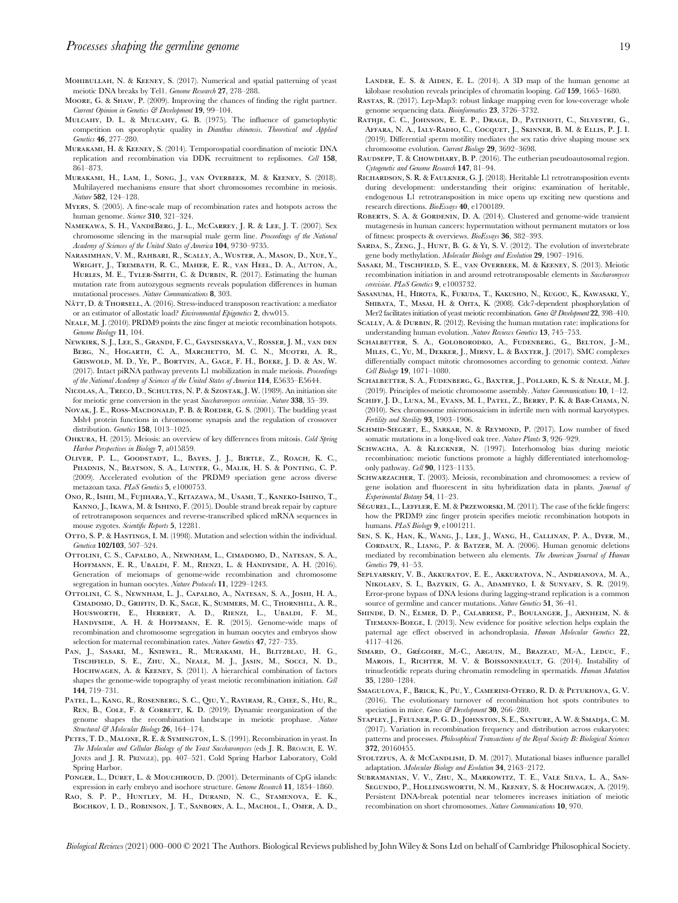- Mohibullah, N. & Keeney, S. (2017). Numerical and spatial patterning of yeast meiotic DNA breaks by Tel1. Genome Research 27, 278–288.
- Moore, G. & Shaw, P. (2009). Improving the chances of finding the right partner. Current Opinion in Genetics & Development 19, 99–104.
- MULCAHY, D. L. & MULCAHY, G. B. (1975). The influence of gametophytic competition on sporophytic quality in Dianthus chinensis. Theoretical and Applied Genetics 46, 277–280.
- Murakami, H. & Keeney, S. (2014). Temporospatial coordination of meiotic DNA replication and recombination via DDK recruitment to replisomes. Cell 158, 861–873.
- Murakami, H., Lam, I., Song, J., van Overbeek, M. & Keeney, S. (2018). Multilayered mechanisms ensure that short chromosomes recombine in meiosis. Nature 582, 124–128.
- Myers, S. (2005). A fine-scale map of recombination rates and hotspots across the human genome. Science 310, 321–324.
- Namekawa, S. H., VandeBerg, J. L., McCarrey, J. R. & Lee, J. T. (2007). Sex chromosome silencing in the marsupial male germ line. Proceedings of the National Academy of Sciences of the United States of America 104, 9730–9735.
- Narasimhan, V. M., Rahbari, R., Scally, A., Wuster, A., Mason, D., Xue, Y., Wright, J., Trembath, R. C., Maher, E. R., van Heel, D. A., Auton, A., HURLES, M. E., TYLER-SMITH, C. & DURBIN, R. (2017). Estimating the human mutation rate from autozygous segments reveals population differences in human mutational processes. Nature Communications 8, 303.
- NÄTT, D. & THORSELL, A. (2016). Stress-induced transposon reactivation: a mediator or an estimator of allostatic load? Environmental Epigenetics 2, dvw015.
- Neale, M. J. (2010). PRDM9 points the zinc finger at meiotic recombination hotspots. Genome Biology 11, 104.
- Newkirk, S. J., Lee, S., Grandi, F. C., Gaysinskaya, V., Rosser, J. M., van den Berg, N., Hogarth, C. A., Marchetto, M. C. N., Muotri, A. R., Griswold, M. D., Ye, P., Bortvin, A., Gage, F. H., Boeke, J. D. & An, W. (2017). Intact piRNA pathway prevents L1 mobilization in male meiosis. Proceedings of the National Academy of Sciences of the United States of America 114, E5635–E5644.
- Nicolas, A., Treco, D., Schultes, N. P. & Szostak, J. W. (1989). An initiation site for meiotic gene conversion in the yeast Saccharomyces cerevisiae. Nature 338, 35–39.
- NOVAK, J. E., ROSS-MACDONALD, P. B. & ROEDER, G. S. (2001). The budding yeast Msh4 protein functions in chromosome synapsis and the regulation of crossover distribution. Genetics 158, 1013–1025.
- Ohkura, H. (2015). Meiosis: an overview of key differences from mitosis. Cold Spring Harbor Perspectives in Biology 7, a015859.
- Oliver, P. L., Goodstadt, L., Bayes, J. J., Birtle, Z., Roach, K. C., Phadnis, N., Beatson, S. A., Lunter, G., Malik, H. S. & Ponting, C. P. (2009). Accelerated evolution of the PRDM9 speciation gene across diverse metazoan taxa. PLoS Genetics 5, e1000753.
- Ono, R., Ishii, M., Fujihara, Y., Kitazawa, M., Usami, T., Kaneko-Ishino, T., Kanno, J., Ikawa, M. & Ishino, F. (2015). Double strand break repair by capture of retrotransposon sequences and reverse-transcribed spliced mRNA sequences in mouse zygotes. Scientific Reports 5, 12281.
- OTTO, S. P. & HASTINGS, I. M. (1998). Mutation and selection within the individual. Genetica 102/103, 507–524.
- Ottolini, C. S., Capalbo, A., Newnham, L., Cimadomo, D., Natesan, S. A., Hoffmann, E. R., Ubaldi, F. M., Rienzi, L. & Handyside, A. H. (2016). Generation of meiomaps of genome-wide recombination and chromosome segregation in human oocytes. Nature Protocols 11, 1229–1243.
- Ottolini, C. S., Newnham, L. J., Capalbo, A., Natesan, S. A., Joshi, H. A., Cimadomo, D., Griffin, D. K., Sage, K., Summers, M. C., Thornhill, A. R., Housworth, E., Herbert, A. D., Rienzi, L., Ubaldi, F. M., Handyside, A. H. & Hoffmann, E. R. (2015). Genome-wide maps of recombination and chromosome segregation in human oocytes and embryos show selection for maternal recombination rates. Nature Genetics 47, 727–735.
- Pan, J., Sasaki, M., Kniewel, R., Murakami, H., Blitzblau, H. G., Tischfield, S. E., Zhu, X., Neale, M. J., Jasin, M., Socci, N. D., Hochwagen, A. & Keeney, S. (2011). A hierarchical combination of factors shapes the genome-wide topography of yeast meiotic recombination initiation. Cell 144, 719–731.
- PATEL, L., KANG, R., ROSENBERG, S. C., QIU, Y., RAVIRAM, R., CHEE, S., HU, R., REN, B., COLE, F. & CORBETT, K. D. (2019). Dynamic reorganization of the genome shapes the recombination landscape in meiotic prophase. Nature Structural & Molecular Biology 26, 164-174.
- Petes, T. D., Malone, R. E. & Symington, L. S. (1991). Recombination in yeast. In The Molecular and Cellular Biology of the Yeast Saccharomyces (eds J. R. BROACH, E. W. JONES and J. R. PRINGLE), pp. 407–521. Cold Spring Harbor Laboratory, Cold Spring Harbor.
- PONGER, L., DURET, L. & MOUCHIROUD, D. (2001). Determinants of CpG islands: expression in early embryo and isochore structure. Genome Research 11, 1854–1860.
- Rao, S. P. P., Huntley, M. H., Durand, N. C., Stamenova, E. K., BOCHKOV, I. D., ROBINSON, J. T., SANBORN, A. L., MACHOL, I., OMER, A. D.,

LANDER, E. S. & AIDEN, E. L. (2014). A 3D map of the human genome at kilobase resolution reveals principles of chromatin looping. Cell 159, 1665–1680.

- Rastas, R. (2017). Lep-Map3: robust linkage mapping even for low-coverage whole genome sequencing data. Bioinformatics 23, 3726-3732.
- RATHJE, C. C., JOHNSON, E. E. P., DRAGE, D., PATINIOTI, C., SILVESTRI, G., Affara, N. A., Ialy-Radio, C., Cocquet, J., Skinner, B. M. & Ellis, P. J. I. (2019). Differential sperm motility mediates the sex ratio drive shaping mouse sex chromosome evolution. Current Biology 29, 3692–3698.
- RAUDSEPP, T. & CHOWDHARY, B. P. (2016). The eutherian pseudoautosomal region. Cytogenetic and Genome Research 147, 81–94.
- Richardson, S. R. & Faulkner, G. J. (2018). Heritable L1 retrotransposition events during development: understanding their origins: examination of heritable, endogenous L1 retrotransposition in mice opens up exciting new questions and research directions. BioEssays 40, e1700189.
- ROBERTS, S. A. & GORDENIN, D. A. (2014). Clustered and genome-wide transient mutagenesis in human cancers: hypermutation without permanent mutators or loss of fitness: prospects & overviews. BioEssays 36, 382–393.
- SARDA, S., ZENG, J., HUNT, B. G. & YI, S. V. (2012). The evolution of invertebrate gene body methylation. Molecular Biology and Evolution 29, 1907-1916.
- Sasaki, M., Tischfield, S. E., van Overbeek, M. & Keeney, S. (2013). Meiotic recombination initiation in and around retrotransposable elements in Saccharomyces cerevisiae. PLoS Genetics 9, e1003732.
- Sasanuma, H., Hirota, K., Fukuda, T., Kakusho, N., Kugou, K., Kawasaki, Y., SHIBATA, T., MASAI, H. & OHTA, K. (2008). Cdc7-dependent phosphorylation of Mer2 facilitates initiation of yeast meiotic recombination. Genes & Development 22, 398-410.
- SCALLY, A. & DURBIN, R. (2012). Revising the human mutation rate: implications for understanding human evolution. Nature Reviews Genetics 13, 745-753.
- Schalbetter, S. A., Goloborodko, A., Fudenberg, G., Belton, J.-M., Miles, C., Yu, M., Dekker, J., Mirny, L. & Baxter, J. (2017). SMC complexes differentially compact mitotic chromosomes according to genomic context. Nature Cell Biology 19, 1071–1080.
- Schalbetter, S. A., Fudenberg, G., Baxter, J., Pollard, K. S. & Neale, M. J. (2019). Principles of meiotic chromosome assembly. Nature Communications 10, 1–12.
- Schiff, J. D., Luna, M., Evans, M. I., Patel, Z., Berry, P. K. & Bar-Chama, N. (2010). Sex chromosome micromosaicism in infertile men with normal karyotypes. Fertility and Sterility 93, 1903–1906.
- SCHMID-SIEGERT, E., SARKAR, N. & REYMOND, P. (2017). Low number of fixed somatic mutations in a long-lived oak tree. Nature Plants 3, 926-929.
- SCHWACHA, A. & KLECKNER, N. (1997). Interhomolog bias during meiotic recombination: meiotic functions promote a highly differentiated interhomologonly pathway. Cell 90, 1123–1135.
- SCHWARZACHER, T. (2003). Meiosis, recombination and chromosomes: a review of gene isolation and fluorescent in situ hybridization data in plants. Journal of Experimental Botany 54, 11–23.
- SÉGUREL, L., LEFFLER, E. M. & PRZEWORSKI, M. (2011). The case of the fickle fingers: how the PRDM9 zinc finger protein specifies meiotic recombination hotspots in humans. PLoS Biology 9, e1001211.
- Sen, S. K., Han, K., Wang, J., Lee, J., Wang, H., Callinan, P. A., Dyer, M., Cordaux, R., Liang, P. & Batzer, M. A. (2006). Human genomic deletions mediated by recombination between alu elements. The American Journal of Human Genetics 79, 41–53.
- Seplyarskiy, V. B., Akkuratov, E. E., Akkuratova, N., Andrianova, M. A., Nikolaev, S. I., Bazykin, G. A., Adameyko, I. & Sunyaev, S. R. (2019). Error-prone bypass of DNA lesions during lagging-strand replication is a common source of germline and cancer mutations. Nature Genetics 51, 36-41.
- Shinde, D. N., Elmer, D. P., Calabrese, P., Boulanger, J., Arnheim, N. & Tiemann-Boege, I. (2013). New evidence for positive selection helps explain the paternal age effect observed in achondroplasia. Human Molecular Genetics 22, 4117–4126.
- SIMARD, O., GRÉGOIRE, M.-C., ARGUIN, M., BRAZEAU, M.-A., LEDUC, F., MAROIS, I., RICHTER, M. V. & BOISSONNEAULT, G. (2014). Instability of trinucleotidic repeats during chromatin remodeling in spermatids. Human Mutation 35, 1280–1284.
- Smagulova, F., Brick, K., Pu, Y., Camerini-Otero, R. D. & Petukhova, G. V. (2016). The evolutionary turnover of recombination hot spots contributes to speciation in mice. Genes & Development 30, 266-280.
- Stapley, J., Feulner, P. G. D., Johnston, S. E., Santure, A. W. & Smadja, C. M. (2017). Variation in recombination frequency and distribution across eukaryotes: patterns and processes. Philosophical Transactions of the Royal Society B: Biological Sciences 372, 20160455.
- STOLTZFUS, A. & McCANDLISH, D. M. (2017). Mutational biases influence parallel adaptation. Molecular Biology and Evolution 34, 2163–2172.
- Subramanian, V. V., Zhu, X., Markowitz, T. E., Vale Silva, L. A., San-Segundo, P., Hollingsworth, N. M., Keeney, S. & Hochwagen, A. (2019). Persistent DNA-break potential near telomeres increases initiation of meiotic recombination on short chromosomes. Nature Communications 10, 970.